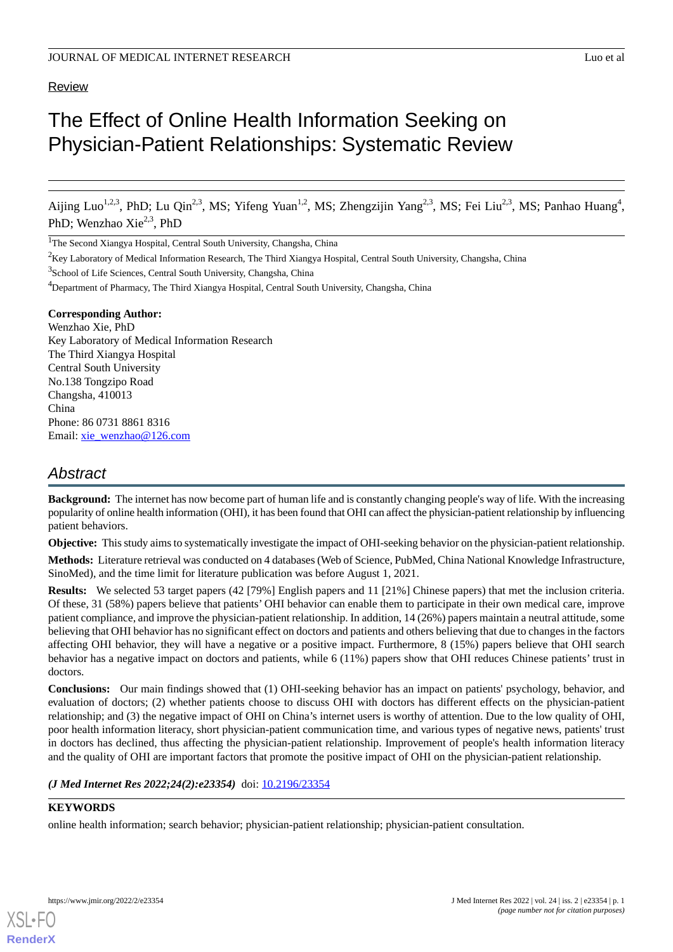#### Review

# The Effect of Online Health Information Seeking on Physician-Patient Relationships: Systematic Review

Aijing Luo<sup>1,2,3</sup>, PhD; Lu Qin<sup>2,3</sup>, MS; Yifeng Yuan<sup>1,2</sup>, MS; Zhengzijin Yang<sup>2,3</sup>, MS; Fei Liu<sup>2,3</sup>, MS; Panhao Huang<sup>4</sup>, PhD; Wenzhao Xie<sup>2,3</sup>, PhD

<sup>1</sup>The Second Xiangya Hospital, Central South University, Changsha, China

 $2$ Key Laboratory of Medical Information Research, The Third Xiangya Hospital, Central South University, Changsha, China

<sup>3</sup>School of Life Sciences, Central South University, Changsha, China

**Corresponding Author:** Wenzhao Xie, PhD Key Laboratory of Medical Information Research The Third Xiangya Hospital Central South University No.138 Tongzipo Road Changsha, 410013 China Phone: 86 0731 8861 8316 Email: [xie\\_wenzhao@126.com](mailto:xie_wenzhao@126.com)

# *Abstract*

**Background:** The internet has now become part of human life and is constantly changing people's way of life. With the increasing popularity of online health information (OHI), it has been found that OHI can affect the physician-patient relationship by influencing patient behaviors.

**Objective:** This study aims to systematically investigate the impact of OHI-seeking behavior on the physician-patient relationship.

**Methods:** Literature retrieval was conducted on 4 databases (Web of Science, PubMed, China National Knowledge Infrastructure, SinoMed), and the time limit for literature publication was before August 1, 2021.

**Results:** We selected 53 target papers (42 [79%] English papers and 11 [21%] Chinese papers) that met the inclusion criteria. Of these, 31 (58%) papers believe that patients' OHI behavior can enable them to participate in their own medical care, improve patient compliance, and improve the physician-patient relationship. In addition, 14 (26%) papers maintain a neutral attitude, some believing that OHI behavior has no significant effect on doctors and patients and others believing that due to changes in the factors affecting OHI behavior, they will have a negative or a positive impact. Furthermore, 8 (15%) papers believe that OHI search behavior has a negative impact on doctors and patients, while 6 (11%) papers show that OHI reduces Chinese patients' trust in doctors.

**Conclusions:** Our main findings showed that (1) OHI-seeking behavior has an impact on patients' psychology, behavior, and evaluation of doctors; (2) whether patients choose to discuss OHI with doctors has different effects on the physician-patient relationship; and (3) the negative impact of OHI on China's internet users is worthy of attention. Due to the low quality of OHI, poor health information literacy, short physician-patient communication time, and various types of negative news, patients' trust in doctors has declined, thus affecting the physician-patient relationship. Improvement of people's health information literacy and the quality of OHI are important factors that promote the positive impact of OHI on the physician-patient relationship.

*(J Med Internet Res 2022;24(2):e23354)* doi:  $10.2196/23354$ 

#### **KEYWORDS**

[XSL](http://www.w3.org/Style/XSL)•FO **[RenderX](http://www.renderx.com/)**

online health information; search behavior; physician-patient relationship; physician-patient consultation.

<sup>&</sup>lt;sup>4</sup>Department of Pharmacy, The Third Xiangya Hospital, Central South University, Changsha, China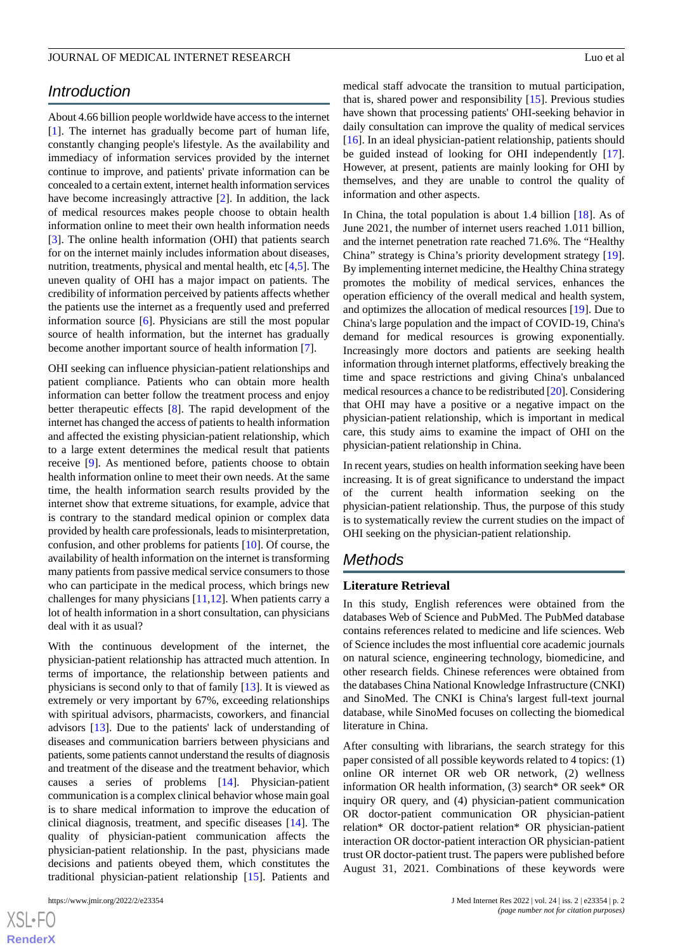# *Introduction*

About 4.66 billion people worldwide have access to the internet [[1\]](#page-15-0). The internet has gradually become part of human life, constantly changing people's lifestyle. As the availability and immediacy of information services provided by the internet continue to improve, and patients' private information can be concealed to a certain extent, internet health information services have become increasingly attractive [[2\]](#page-15-1). In addition, the lack of medical resources makes people choose to obtain health information online to meet their own health information needs [[3\]](#page-15-2). The online health information (OHI) that patients search for on the internet mainly includes information about diseases, nutrition, treatments, physical and mental health, etc [[4,](#page-15-3)[5](#page-15-4)]. The uneven quality of OHI has a major impact on patients. The credibility of information perceived by patients affects whether the patients use the internet as a frequently used and preferred information source [\[6\]](#page-15-5). Physicians are still the most popular source of health information, but the internet has gradually become another important source of health information [\[7](#page-15-6)].

OHI seeking can influence physician-patient relationships and patient compliance. Patients who can obtain more health information can better follow the treatment process and enjoy better therapeutic effects [[8\]](#page-15-7). The rapid development of the internet has changed the access of patients to health information and affected the existing physician-patient relationship, which to a large extent determines the medical result that patients receive [\[9\]](#page-15-8). As mentioned before, patients choose to obtain health information online to meet their own needs. At the same time, the health information search results provided by the internet show that extreme situations, for example, advice that is contrary to the standard medical opinion or complex data provided by health care professionals, leads to misinterpretation, confusion, and other problems for patients [\[10](#page-15-9)]. Of course, the availability of health information on the internet is transforming many patients from passive medical service consumers to those who can participate in the medical process, which brings new challenges for many physicians [[11,](#page-15-10)[12](#page-15-11)]. When patients carry a lot of health information in a short consultation, can physicians deal with it as usual?

With the continuous development of the internet, the physician-patient relationship has attracted much attention. In terms of importance, the relationship between patients and physicians is second only to that of family [\[13](#page-15-12)]. It is viewed as extremely or very important by 67%, exceeding relationships with spiritual advisors, pharmacists, coworkers, and financial advisors [\[13](#page-15-12)]. Due to the patients' lack of understanding of diseases and communication barriers between physicians and patients, some patients cannot understand the results of diagnosis and treatment of the disease and the treatment behavior, which causes a series of problems [\[14](#page-15-13)]. Physician-patient communication is a complex clinical behavior whose main goal is to share medical information to improve the education of clinical diagnosis, treatment, and specific diseases [\[14](#page-15-13)]. The quality of physician-patient communication affects the physician-patient relationship. In the past, physicians made decisions and patients obeyed them, which constitutes the traditional physician-patient relationship [\[15](#page-15-14)]. Patients and

[XSL](http://www.w3.org/Style/XSL)•FO **[RenderX](http://www.renderx.com/)** medical staff advocate the transition to mutual participation, that is, shared power and responsibility [\[15](#page-15-14)]. Previous studies have shown that processing patients' OHI-seeking behavior in daily consultation can improve the quality of medical services [[16\]](#page-15-15). In an ideal physician-patient relationship, patients should be guided instead of looking for OHI independently [[17\]](#page-15-16). However, at present, patients are mainly looking for OHI by themselves, and they are unable to control the quality of information and other aspects.

In China, the total population is about 1.4 billion [\[18](#page-16-0)]. As of June 2021, the number of internet users reached 1.011 billion, and the internet penetration rate reached 71.6%. The "Healthy China" strategy is China's priority development strategy [[19\]](#page-16-1). By implementing internet medicine, the Healthy China strategy promotes the mobility of medical services, enhances the operation efficiency of the overall medical and health system, and optimizes the allocation of medical resources [\[19](#page-16-1)]. Due to China's large population and the impact of COVID-19, China's demand for medical resources is growing exponentially. Increasingly more doctors and patients are seeking health information through internet platforms, effectively breaking the time and space restrictions and giving China's unbalanced medical resources a chance to be redistributed [\[20\]](#page-16-2). Considering that OHI may have a positive or a negative impact on the physician-patient relationship, which is important in medical care, this study aims to examine the impact of OHI on the physician-patient relationship in China.

In recent years, studies on health information seeking have been increasing. It is of great significance to understand the impact of the current health information seeking on the physician-patient relationship. Thus, the purpose of this study is to systematically review the current studies on the impact of OHI seeking on the physician-patient relationship.

### *Methods*

#### **Literature Retrieval**

In this study, English references were obtained from the databases Web of Science and PubMed. The PubMed database contains references related to medicine and life sciences. Web of Science includes the most influential core academic journals on natural science, engineering technology, biomedicine, and other research fields. Chinese references were obtained from the databases China National Knowledge Infrastructure (CNKI) and SinoMed. The CNKI is China's largest full-text journal database, while SinoMed focuses on collecting the biomedical literature in China.

After consulting with librarians, the search strategy for this paper consisted of all possible keywords related to 4 topics: (1) online OR internet OR web OR network, (2) wellness information OR health information, (3) search\* OR seek\* OR inquiry OR query, and (4) physician-patient communication OR doctor-patient communication OR physician-patient relation\* OR doctor-patient relation\* OR physician-patient interaction OR doctor-patient interaction OR physician-patient trust OR doctor-patient trust. The papers were published before August 31, 2021. Combinations of these keywords were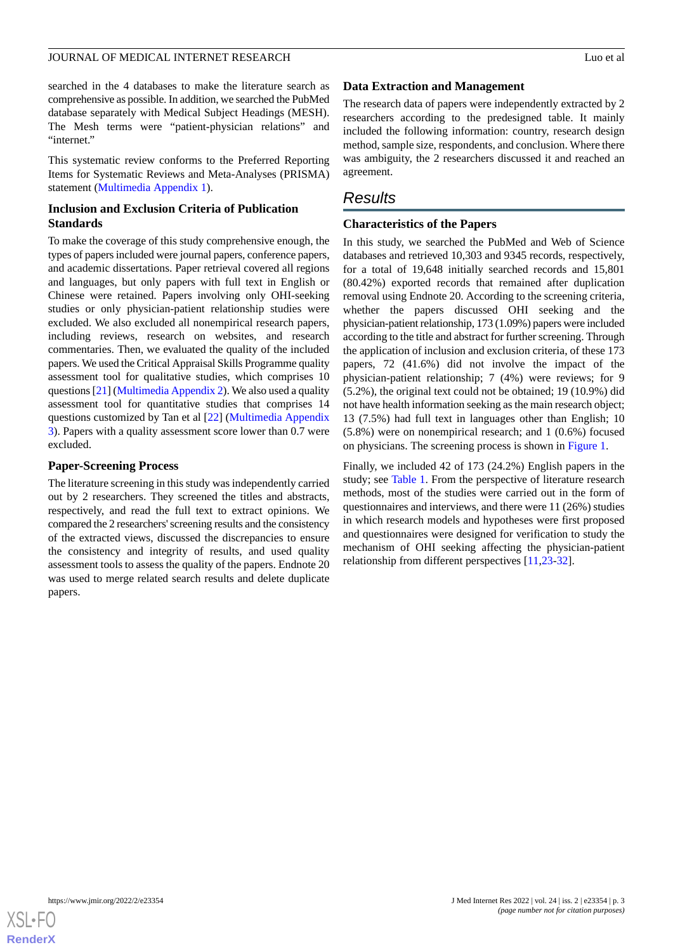searched in the 4 databases to make the literature search as comprehensive as possible. In addition, we searched the PubMed database separately with Medical Subject Headings (MESH). The Mesh terms were "patient-physician relations" and "internet."

This systematic review conforms to the Preferred Reporting Items for Systematic Reviews and Meta-Analyses (PRISMA) statement ([Multimedia Appendix 1\)](#page-15-17).

#### **Inclusion and Exclusion Criteria of Publication Standards**

To make the coverage of this study comprehensive enough, the types of papers included were journal papers, conference papers, and academic dissertations. Paper retrieval covered all regions and languages, but only papers with full text in English or Chinese were retained. Papers involving only OHI-seeking studies or only physician-patient relationship studies were excluded. We also excluded all nonempirical research papers, including reviews, research on websites, and research commentaries. Then, we evaluated the quality of the included papers. We used the Critical Appraisal Skills Programme quality assessment tool for qualitative studies, which comprises 10 questions [\[21\]](#page-16-3) [\(Multimedia Appendix 2](#page-15-18)). We also used a quality assessment tool for quantitative studies that comprises 14 questions customized by Tan et al [[22\]](#page-16-4) ([Multimedia Appendix](#page-15-19) [3\)](#page-15-19). Papers with a quality assessment score lower than 0.7 were excluded.

#### **Paper-Screening Process**

The literature screening in this study was independently carried out by 2 researchers. They screened the titles and abstracts, respectively, and read the full text to extract opinions. We compared the 2 researchers' screening results and the consistency of the extracted views, discussed the discrepancies to ensure the consistency and integrity of results, and used quality assessment tools to assess the quality of the papers. Endnote 20 was used to merge related search results and delete duplicate papers.

#### **Data Extraction and Management**

The research data of papers were independently extracted by 2 researchers according to the predesigned table. It mainly included the following information: country, research design method, sample size, respondents, and conclusion. Where there was ambiguity, the 2 researchers discussed it and reached an agreement.

# *Results*

#### **Characteristics of the Papers**

In this study, we searched the PubMed and Web of Science databases and retrieved 10,303 and 9345 records, respectively, for a total of 19,648 initially searched records and 15,801 (80.42%) exported records that remained after duplication removal using Endnote 20. According to the screening criteria, whether the papers discussed OHI seeking and the physician-patient relationship, 173 (1.09%) papers were included according to the title and abstract for further screening. Through the application of inclusion and exclusion criteria, of these 173 papers, 72 (41.6%) did not involve the impact of the physician-patient relationship; 7 (4%) were reviews; for 9 (5.2%), the original text could not be obtained; 19 (10.9%) did not have health information seeking as the main research object; 13 (7.5%) had full text in languages other than English; 10 (5.8%) were on nonempirical research; and 1 (0.6%) focused on physicians. The screening process is shown in [Figure 1](#page-3-0).

Finally, we included 42 of 173 (24.2%) English papers in the study; see [Table 1](#page-4-0). From the perspective of literature research methods, most of the studies were carried out in the form of questionnaires and interviews, and there were 11 (26%) studies in which research models and hypotheses were first proposed and questionnaires were designed for verification to study the mechanism of OHI seeking affecting the physician-patient relationship from different perspectives [[11](#page-15-10)[,23](#page-16-5)-[32\]](#page-16-6).

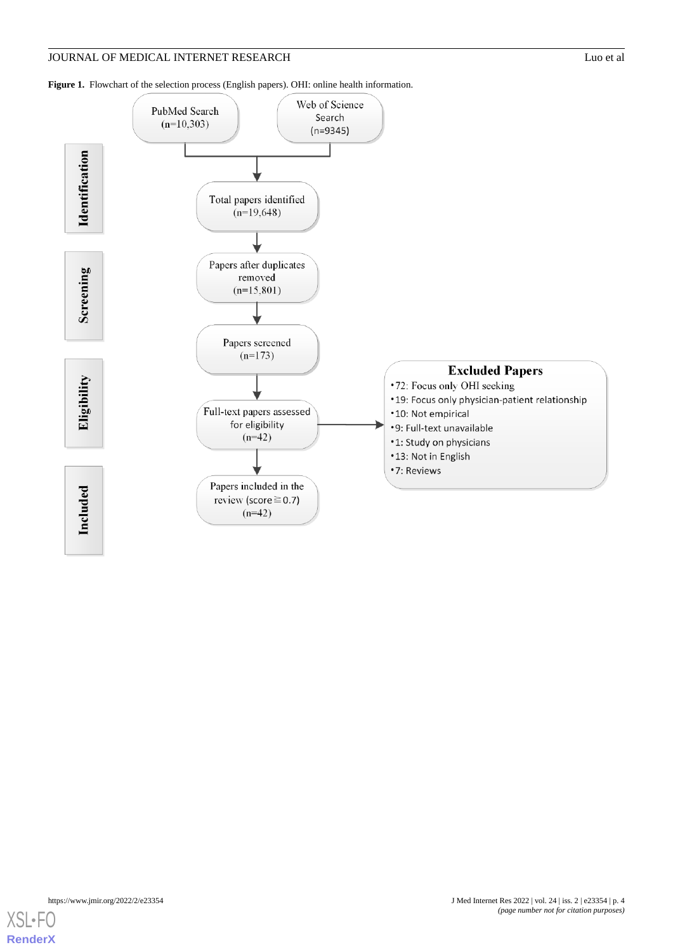<span id="page-3-0"></span>



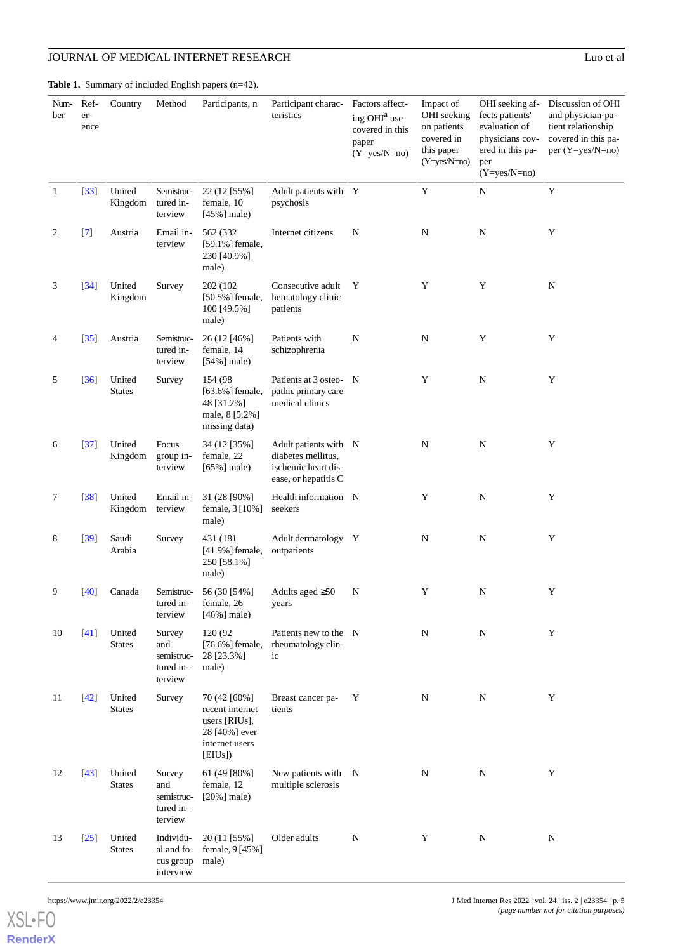# JOURNAL OF MEDICAL INTERNET RESEARCH

<span id="page-4-0"></span>Table 1. Summary of included English papers (n=42).

| ١ſ<br>1 |  |
|---------|--|

| Num-<br>ber  | Ref-<br>er-<br>ence | Country                 | Method                                              | Participants, n                                                                                | Participant charac-<br>teristics                                                           | Factors affect-<br>ing OHI <sup>a</sup> use<br>covered in this<br>paper<br>$(Y=yes/N=no)$ | Impact of<br>OHI seeking<br>on patients<br>covered in<br>this paper<br>$(Y=yes/N=no)$ | OHI seeking af-<br>fects patients'<br>evaluation of<br>physicians cov-<br>ered in this pa-<br>per<br>$(Y=yes/N=no)$ | Discussion of OHI<br>and physician-pa-<br>tient relationship<br>covered in this pa-<br>per $(Y=yes/N=no)$ |
|--------------|---------------------|-------------------------|-----------------------------------------------------|------------------------------------------------------------------------------------------------|--------------------------------------------------------------------------------------------|-------------------------------------------------------------------------------------------|---------------------------------------------------------------------------------------|---------------------------------------------------------------------------------------------------------------------|-----------------------------------------------------------------------------------------------------------|
| $\mathbf{1}$ | $[33]$              | United<br>Kingdom       | Semistruc-<br>tured in-<br>terview                  | 22 (12 [55%]<br>female, 10<br>$[45\%]$ male)                                                   | Adult patients with Y<br>psychosis                                                         |                                                                                           | Y                                                                                     | ${\bf N}$                                                                                                           | $\mathbf Y$                                                                                               |
| 2            | $[7]$               | Austria                 | Email in-<br>terview                                | 562 (332<br>[59.1%] female,<br>230 [40.9%]<br>male)                                            | Internet citizens                                                                          | N                                                                                         | ${\bf N}$                                                                             | ${\bf N}$                                                                                                           | Y                                                                                                         |
| 3            | $[34]$              | United<br>Kingdom       | Survey                                              | 202 (102)<br>[50.5%] female,<br>100 [49.5%]<br>male)                                           | Consecutive adult<br>hematology clinic<br>patients                                         | Y                                                                                         | Y                                                                                     | Y                                                                                                                   | $\mathbf N$                                                                                               |
| 4            | $[35]$              | Austria                 | Semistruc-<br>tured in-<br>terview                  | 26 (12 [46%]<br>female, 14<br>$[54\%]$ male)                                                   | Patients with<br>schizophrenia                                                             | ${\bf N}$                                                                                 | ${\bf N}$                                                                             | $\mathbf Y$                                                                                                         | Y                                                                                                         |
| 5            | [36]                | United<br><b>States</b> | Survey                                              | 154 (98)<br>$[63.6\%]$ female,<br>48 [31.2%]<br>male, 8 [5.2%]<br>missing data)                | Patients at 3 osteo-<br>pathic primary care<br>medical clinics                             | - N                                                                                       | Y                                                                                     | ${\bf N}$                                                                                                           | Y                                                                                                         |
| 6            | $[37]$              | United<br>Kingdom       | Focus<br>group in-<br>terview                       | 34 (12 [35%]<br>female, 22<br>$[65\%]$ male)                                                   | Adult patients with N<br>diabetes mellitus,<br>ischemic heart dis-<br>ease, or hepatitis C |                                                                                           | N                                                                                     | N                                                                                                                   | Y                                                                                                         |
| 7            | $[38]$              | United<br>Kingdom       | Email in-<br>terview                                | 31 (28 [90%]<br>female, 3 [10%]<br>male)                                                       | Health information N<br>seekers                                                            |                                                                                           | Y                                                                                     | ${\bf N}$                                                                                                           | Y                                                                                                         |
| 8            | $[39]$              | Saudi<br>Arabia         | Survey                                              | 431 (181)<br>$[41.9\%]$ female,<br>250 [58.1%]<br>male)                                        | Adult dermatology Y<br>outpatients                                                         |                                                                                           | ${\bf N}$                                                                             | ${\bf N}$                                                                                                           | Y                                                                                                         |
| 9            | $[40]$              | Canada                  | Semistruc-<br>tured in-<br>terview                  | 56 (30 [54%]<br>female, 26<br>$[46\%]$ male)                                                   | Adults aged $\geq 50$<br>years                                                             | ${\bf N}$                                                                                 | Y                                                                                     | ${\bf N}$                                                                                                           | Y                                                                                                         |
| 10           | $[41]$              | United<br><b>States</b> | Survey<br>and<br>semistruc-<br>tured in-<br>terview | 120 (92)<br>[76.6%] female,<br>28 [23.3%]<br>male)                                             | Patients new to the N<br>rheumatology clin-<br>ic                                          |                                                                                           | N                                                                                     | N                                                                                                                   | Y                                                                                                         |
| 11           | [42]                | United<br><b>States</b> | Survey                                              | 70 (42 [60%]<br>recent internet<br>users [RIUs],<br>28 [40%] ever<br>internet users<br>[EIUs]) | Breast cancer pa-<br>tients                                                                | Y                                                                                         | ${\bf N}$                                                                             | ${\bf N}$                                                                                                           | Y                                                                                                         |
| 12           | $[43]$              | United<br><b>States</b> | Survey<br>and<br>semistruc-<br>tured in-<br>terview | 61 (49 [80%]<br>female, 12<br>$[20\%]$ male)                                                   | New patients with N<br>multiple sclerosis                                                  |                                                                                           | ${\bf N}$                                                                             | ${\bf N}$                                                                                                           | Y                                                                                                         |
| 13           | $[25]$              | United<br><b>States</b> | Individu-<br>al and fo-<br>cus group<br>interview   | 20 (11 [55%]<br>female, 9 [45%]<br>male)                                                       | Older adults                                                                               | N                                                                                         | Y                                                                                     | N                                                                                                                   | N                                                                                                         |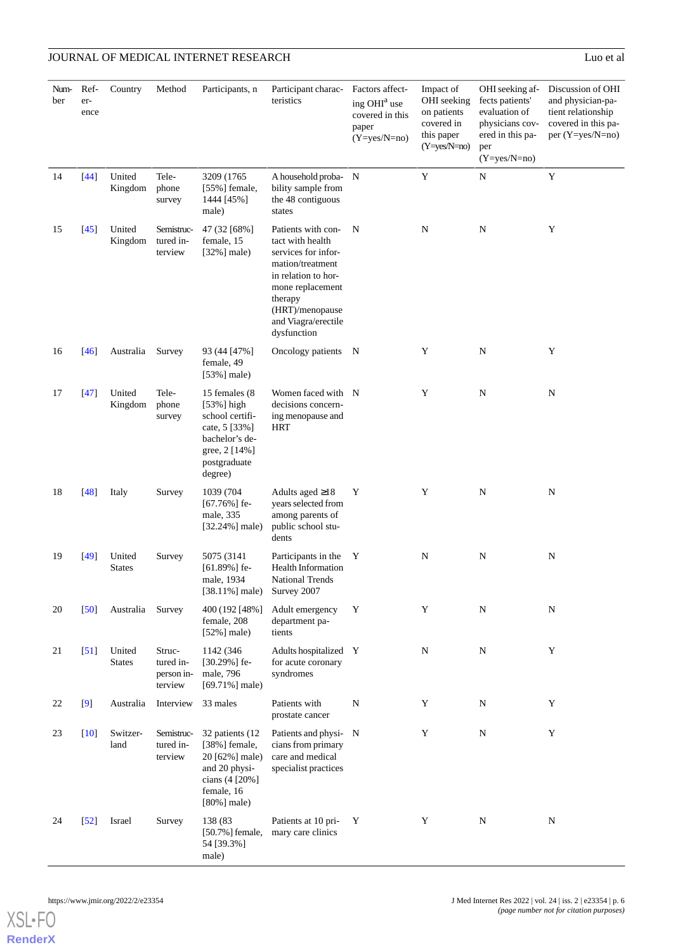| Num-<br>ber | Ref-<br>er-<br>ence | Country                 | Method                                       | Participants, n                                                                                                                | Participant charac- Factors affect-<br>teristics                                                                                                                                                 | ing OHI <sup>a</sup> use<br>covered in this<br>paper<br>$(Y=yes/N=no)$ | Impact of<br>OHI seeking<br>on patients<br>covered in<br>this paper<br>$(Y=yes/N=no)$ | OHI seeking af-<br>fects patients'<br>evaluation of<br>physicians cov-<br>ered in this pa-<br>per<br>$(Y=yes/N=no)$ | Discussion of OHI<br>and physician-pa-<br>tient relationship<br>covered in this pa-<br>per $(Y=yes/N=no)$ |
|-------------|---------------------|-------------------------|----------------------------------------------|--------------------------------------------------------------------------------------------------------------------------------|--------------------------------------------------------------------------------------------------------------------------------------------------------------------------------------------------|------------------------------------------------------------------------|---------------------------------------------------------------------------------------|---------------------------------------------------------------------------------------------------------------------|-----------------------------------------------------------------------------------------------------------|
| 14          | $[44]$              | United<br>Kingdom       | Tele-<br>phone<br>survey                     | 3209 (1765)<br>$[55\%]$ female,<br>1444 [45%]<br>male)                                                                         | A household proba- N<br>bility sample from<br>the 48 contiguous<br>states                                                                                                                        |                                                                        | $\mathbf Y$                                                                           | ${\bf N}$                                                                                                           | $\mathbf Y$                                                                                               |
| 15          | $\left[45\right]$   | United<br>Kingdom       | Semistruc-<br>tured in-<br>terview           | 47 (32 [68%]<br>female, 15<br>$[32\%]$ male)                                                                                   | Patients with con-<br>tact with health<br>services for infor-<br>mation/treatment<br>in relation to hor-<br>mone replacement<br>therapy<br>(HRT)/menopause<br>and Viagra/erectile<br>dysfunction | N                                                                      | $\mathbf N$                                                                           | ${\bf N}$                                                                                                           | Y                                                                                                         |
| 16          | $[46]$              | Australia               | Survey                                       | 93 (44 [47%]<br>female, 49<br>$[53\%]$ male)                                                                                   | Oncology patients N                                                                                                                                                                              |                                                                        | Y                                                                                     | ${\bf N}$                                                                                                           | Y                                                                                                         |
| 17          | $[47]$              | United<br>Kingdom       | Tele-<br>phone<br>survey                     | 15 females (8)<br>[53%] high<br>school certifi-<br>cate, 5 [33%]<br>bachelor's de-<br>gree, 2 [14%]<br>postgraduate<br>degree) | Women faced with N<br>decisions concern-<br>ing menopause and<br><b>HRT</b>                                                                                                                      |                                                                        | Y                                                                                     | ${\bf N}$                                                                                                           | ${\bf N}$                                                                                                 |
| 18          | $[48]$              | Italy                   | Survey                                       | 1039 (704<br>$[67.76\%]$ fe-<br>male, 335<br>$[32.24\%]$ male)                                                                 | Adults aged $\geq$ 18<br>years selected from<br>among parents of<br>public school stu-<br>dents                                                                                                  | Y                                                                      | Y                                                                                     | ${\bf N}$                                                                                                           | N                                                                                                         |
| 19          | $[49]$              | United<br><b>States</b> | Survey                                       | 5075 (3141)<br>$[61.89\%]$ fe-<br>male, 1934<br>$[38.11\%]$ male)                                                              | Participants in the<br><b>Health Information</b><br>National Trends<br>Survey 2007                                                                                                               | Y                                                                      | $\mathbf N$                                                                           | ${\bf N}$                                                                                                           | N                                                                                                         |
| 20          | $\left[50\right]$   | Australia               | Survey                                       | 400 (192 [48%]<br>female, 208<br>$[52\%]$ male)                                                                                | Adult emergency<br>department pa-<br>tients                                                                                                                                                      | Y                                                                      | Y                                                                                     | ${\bf N}$                                                                                                           | $\mathbf N$                                                                                               |
| 21          | $\left[51\right]$   | United<br><b>States</b> | Struc-<br>tured in-<br>person in-<br>terview | 1142 (346)<br>$[30.29\%]$ fe-<br>male, 796<br>$[69.71\%]$ male)                                                                | Adults hospitalized Y<br>for acute coronary<br>syndromes                                                                                                                                         |                                                                        | $\mathbf N$                                                                           | N                                                                                                                   | Y                                                                                                         |
| 22          | [9]                 | Australia               | Interview                                    | 33 males                                                                                                                       | Patients with<br>prostate cancer                                                                                                                                                                 | N                                                                      | Y                                                                                     | ${\bf N}$                                                                                                           | Y                                                                                                         |
| 23          | $[10]$              | Switzer-<br>land        | Semistruc-<br>tured in-<br>terview           | 32 patients (12<br>[38%] female,<br>20 [62%] male)<br>and 20 physi-<br>cians (4 [20%]<br>female, 16<br>$[80\%]$ male)          | Patients and physi- N<br>cians from primary<br>care and medical<br>specialist practices                                                                                                          |                                                                        | Y                                                                                     | ${\bf N}$                                                                                                           | Y                                                                                                         |
| 24          | $\left[52\right]$   | Israel                  | Survey                                       | 138 (83<br>[50.7%] female,<br>54 [39.3%]<br>male)                                                                              | Patients at 10 pri-<br>mary care clinics                                                                                                                                                         | Y                                                                      | Y                                                                                     | ${\bf N}$                                                                                                           | $\mathbf N$                                                                                               |

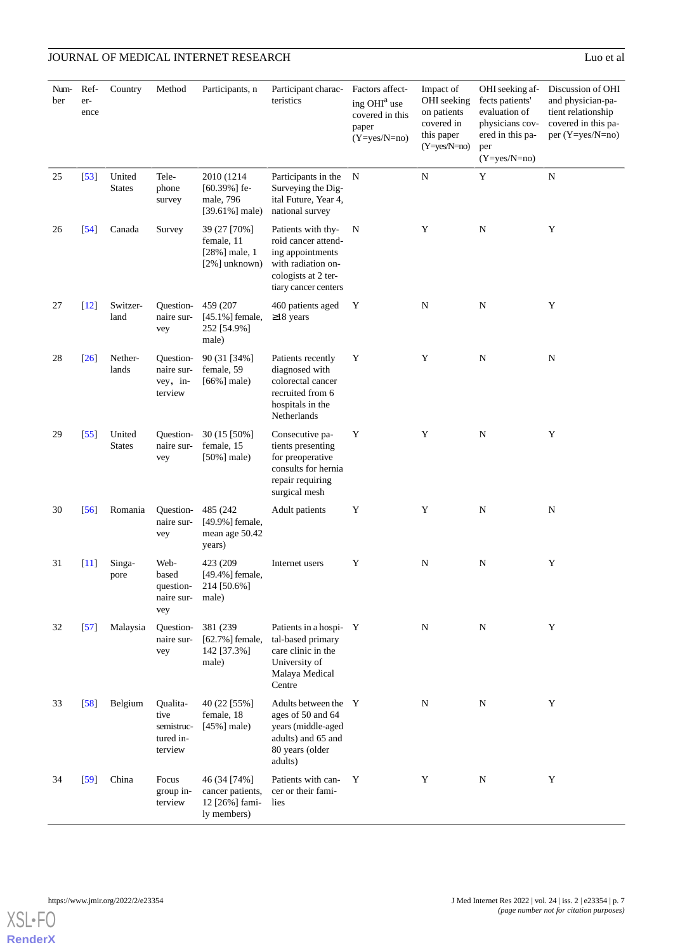| Num-<br>ber | Ref-<br>er-<br>ence  | Country                 | Method                                                 | Participants, n                                                   | Participant charac-<br>teristics                                                                                                   | Factors affect-<br>ing OHI <sup>a</sup> use<br>covered in this<br>paper<br>$(Y=yes/N=no)$ | Impact of<br>OHI seeking<br>on patients<br>covered in<br>this paper<br>$(Y=yes/N=no)$ | OHI seeking af-<br>fects patients'<br>evaluation of<br>physicians cov-<br>ered in this pa-<br>per<br>$(Y=yes/N=no)$ | Discussion of OHI<br>and physician-pa-<br>tient relationship<br>covered in this pa-<br>per (Y=yes/N=no) |
|-------------|----------------------|-------------------------|--------------------------------------------------------|-------------------------------------------------------------------|------------------------------------------------------------------------------------------------------------------------------------|-------------------------------------------------------------------------------------------|---------------------------------------------------------------------------------------|---------------------------------------------------------------------------------------------------------------------|---------------------------------------------------------------------------------------------------------|
| 25          | $[53]$               | United<br><b>States</b> | Tele-<br>phone<br>survey                               | 2010 (1214)<br>$[60.39\%]$ fe-<br>male, 796<br>$[39.61\%]$ male)  | Participants in the<br>Surveying the Dig-<br>ital Future, Year 4,<br>national survey                                               | N                                                                                         | ${\bf N}$                                                                             | Y                                                                                                                   | ${\bf N}$                                                                                               |
| 26          | $\left[54\right]$    | Canada                  | Survey                                                 | 39 (27 [70%]<br>female, 11<br>$[28\%]$ male, 1<br>[2%] unknown)   | Patients with thy-<br>roid cancer attend-<br>ing appointments<br>with radiation on-<br>cologists at 2 ter-<br>tiary cancer centers | N                                                                                         | Y                                                                                     | $\mathbf N$                                                                                                         | Y                                                                                                       |
| 27          | $\lceil 12 \rceil$   | Switzer-<br>land        | Question-<br>naire sur-<br>vey                         | 459 (207<br>$[45.1\%]$ female,<br>252 [54.9%]<br>male)            | 460 patients aged<br>$\geq$ 18 years                                                                                               | Y                                                                                         | N                                                                                     | N                                                                                                                   | Y                                                                                                       |
| 28          | [26]                 | Nether-<br>lands        | Question-<br>naire sur-<br>vey, in-<br>terview         | 90 (31 [34%]<br>female, 59<br>$[66\%]$ male)                      | Patients recently<br>diagnosed with<br>colorectal cancer<br>recruited from 6<br>hospitals in the<br>Netherlands                    | Y                                                                                         | Y                                                                                     | $\mathbf N$                                                                                                         | ${\bf N}$                                                                                               |
| 29          | [55]                 | United<br><b>States</b> | Question-<br>naire sur-<br>vey                         | 30 (15 [50%]<br>female, 15<br>$[50\%]$ male)                      | Consecutive pa-<br>tients presenting<br>for preoperative<br>consults for hernia<br>repair requiring<br>surgical mesh               | Y                                                                                         | Y                                                                                     | $\mathbf N$                                                                                                         | Y                                                                                                       |
| 30          | $\left[56\right]$    | Romania                 | Question-<br>naire sur-<br>vey                         | 485 (242)<br>[49.9%] female,<br>mean age 50.42<br>years)          | <b>Adult</b> patients                                                                                                              | Y                                                                                         | Y                                                                                     | $\mathbf N$                                                                                                         | ${\bf N}$                                                                                               |
| 31          | $\lfloor 11 \rfloor$ | Singa-<br>pore          | Web-<br>based<br>question-<br>naire sur- male)<br>vey  | 423 (209<br>[49.4%] female,<br>214 [50.6%]                        | Internet users                                                                                                                     | Y                                                                                         | ${\bf N}$                                                                             | $\mathbf N$                                                                                                         | Y                                                                                                       |
| 32          | $\left[57\right]$    | Malaysia                | Question-<br>naire sur-<br>vey                         | 381 (239)<br>[62.7%] female,<br>142 [37.3%]<br>male)              | Patients in a hospi-Y<br>tal-based primary<br>care clinic in the<br>University of<br>Malaya Medical<br>Centre                      |                                                                                           | N                                                                                     | N                                                                                                                   | Y                                                                                                       |
| 33          | $\left[58\right]$    | Belgium                 | Qualita-<br>tive<br>semistruc-<br>tured in-<br>terview | 40 (22 [55%]<br>female, 18<br>$[45\%]$ male)                      | Adults between the Y<br>ages of 50 and 64<br>years (middle-aged<br>adults) and 65 and<br>80 years (older<br>adults)                |                                                                                           | ${\bf N}$                                                                             | N                                                                                                                   | Y                                                                                                       |
| 34          | $\left[59\right]$    | China                   | Focus<br>group in-<br>terview                          | 46 (34 [74%]<br>cancer patients,<br>12 [26%] fami-<br>ly members) | Patients with can-<br>cer or their fami-<br>lies                                                                                   | Y                                                                                         | Y                                                                                     | ${\bf N}$                                                                                                           | Y                                                                                                       |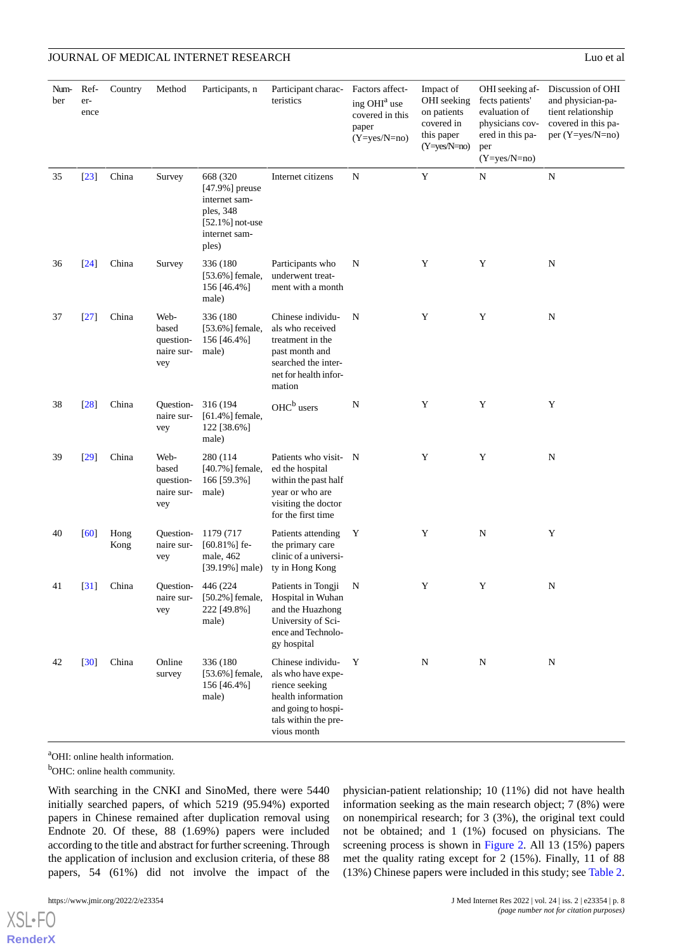#### JOURNAL OF MEDICAL INTERNET RESEARCH Luo et al. Company and the contract of all the contract and the contract of all the contract and the contract of all the contract of all the contract of all the contract of all the cont

| Num-<br>ber | Ref-<br>er-<br>ence | Country      | Method                                          | Participants, n                                                                                              | Participant charac- Factors affect-<br>teristics                                                                                              | ing OHI <sup>a</sup> use<br>covered in this<br>paper<br>$(Y=yes/N=no)$ | Impact of<br>OHI seeking<br>on patients<br>covered in<br>this paper<br>$(Y=yes/N=no)$ | OHI seeking af-<br>fects patients'<br>evaluation of<br>physicians cov-<br>ered in this pa-<br>per<br>$(Y=yes/N=no)$ | Discussion of OHI<br>and physician-pa-<br>tient relationship<br>covered in this pa-<br>per (Y=yes/N=no) |
|-------------|---------------------|--------------|-------------------------------------------------|--------------------------------------------------------------------------------------------------------------|-----------------------------------------------------------------------------------------------------------------------------------------------|------------------------------------------------------------------------|---------------------------------------------------------------------------------------|---------------------------------------------------------------------------------------------------------------------|---------------------------------------------------------------------------------------------------------|
| 35          | $[23]$              | China        | Survey                                          | 668 (320)<br>$[47.9\%]$ preuse<br>internet sam-<br>ples, 348<br>$[52.1\%]$ not-use<br>internet sam-<br>ples) | Internet citizens                                                                                                                             | N                                                                      | Y                                                                                     | N                                                                                                                   | ${\bf N}$                                                                                               |
| 36          | $[24]$              | China        | Survey                                          | 336 (180)<br>$[53.6\%]$ female,<br>156 [46.4%]<br>male)                                                      | Participants who<br>underwent treat-<br>ment with a month                                                                                     | N                                                                      | Y                                                                                     | Y                                                                                                                   | ${\bf N}$                                                                                               |
| 37          | $[27]$              | China        | Web-<br>based<br>question-<br>naire sur-<br>vey | 336 (180<br>[53.6%] female,<br>156 [46.4%]<br>male)                                                          | Chinese individu-<br>als who received<br>treatment in the<br>past month and<br>searched the inter-<br>net for health infor-<br>mation         | N                                                                      | Y                                                                                     | Y                                                                                                                   | ${\bf N}$                                                                                               |
| 38          | $[28]$              | China        | Ouestion-<br>naire sur-<br>vey                  | 316 (194<br>[61.4%] female,<br>122 [38.6%]<br>male)                                                          | OHC <sup>b</sup> users                                                                                                                        | N                                                                      | Y                                                                                     | Y                                                                                                                   | Y                                                                                                       |
| 39          | $[29]$              | China        | Web-<br>based<br>question-<br>naire sur-<br>vey | 280 (114<br>$[40.7\%]$ female,<br>166 [59.3%]<br>male)                                                       | Patients who visit- N<br>ed the hospital<br>within the past half<br>year or who are<br>visiting the doctor<br>for the first time.             |                                                                        | Y                                                                                     | Y                                                                                                                   | ${\bf N}$                                                                                               |
| 40          | [60]                | Hong<br>Kong | Question-<br>naire sur-<br>vey                  | 1179 (717<br>$[60.81\%]$ fe-<br>male, 462<br>$[39.19\%]$ male)                                               | Patients attending<br>the primary care<br>clinic of a universi-<br>ty in Hong Kong                                                            | Y                                                                      | Y                                                                                     | $\mathbf N$                                                                                                         | Y                                                                                                       |
| 41          | $\left[31\right]$   | China        | Question-<br>naire sur-<br>vey                  | 446 (224)<br>[50.2%] female,<br>222 [49.8%]<br>male)                                                         | Patients in Tongji<br>Hospital in Wuhan<br>and the Huazhong<br>University of Sci-<br>ence and Technolo-<br>gy hospital                        | N                                                                      | Y                                                                                     | Y                                                                                                                   | N                                                                                                       |
| 42          | $[30]$              | China        | Online<br>survey                                | 336 (180<br>[53.6%] female,<br>156 [46.4%]<br>male)                                                          | Chinese individu-<br>als who have expe-<br>rience seeking<br>health information<br>and going to hospi-<br>tals within the pre-<br>vious month | Y                                                                      | N                                                                                     | $\mathbf N$                                                                                                         | ${\bf N}$                                                                                               |

<sup>a</sup>OHI: online health information.

<sup>b</sup>OHC: online health community.

With searching in the CNKI and SinoMed, there were 5440 initially searched papers, of which 5219 (95.94%) exported papers in Chinese remained after duplication removal using Endnote 20. Of these, 88 (1.69%) papers were included according to the title and abstract for further screening. Through the application of inclusion and exclusion criteria, of these 88 papers, 54 (61%) did not involve the impact of the

[XSL](http://www.w3.org/Style/XSL)•FO **[RenderX](http://www.renderx.com/)** physician-patient relationship; 10 (11%) did not have health information seeking as the main research object; 7 (8%) were on nonempirical research; for 3 (3%), the original text could not be obtained; and 1 (1%) focused on physicians. The screening process is shown in [Figure 2](#page-8-0). All 13 (15%) papers met the quality rating except for 2 (15%). Finally, 11 of 88 (13%) Chinese papers were included in this study; see [Table 2](#page-9-0).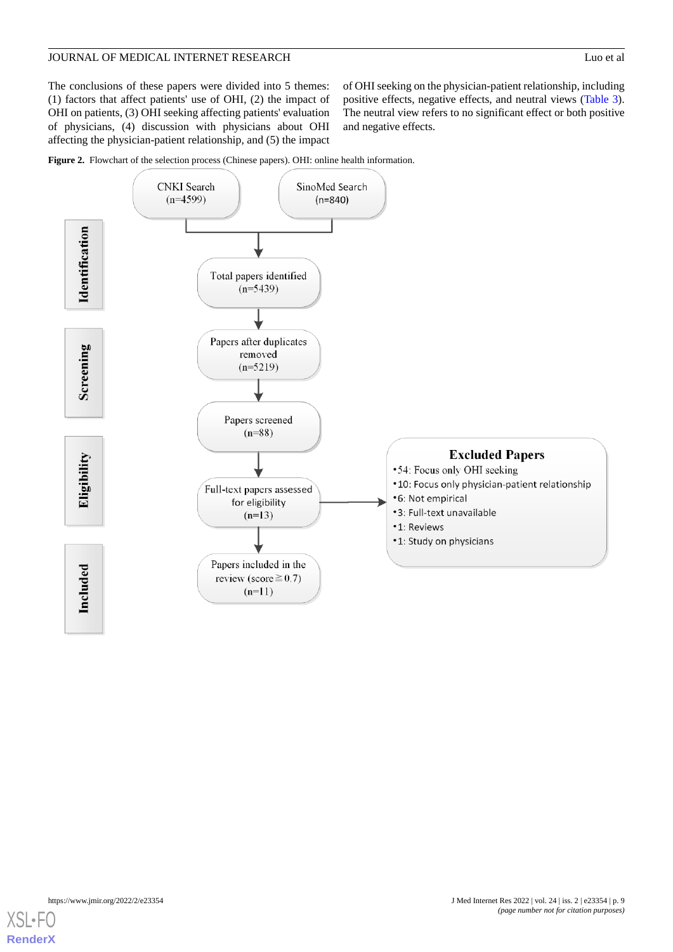#### JOURNAL OF MEDICAL INTERNET RESEARCH Luo et al. Company and the contract of all the contract and the contract of all the contract and the contract of all the contract of all the contract of all the contract of all the cont

The conclusions of these papers were divided into 5 themes: (1) factors that affect patients' use of OHI, (2) the impact of OHI on patients, (3) OHI seeking affecting patients' evaluation of physicians, (4) discussion with physicians about OHI affecting the physician-patient relationship, and (5) the impact

of OHI seeking on the physician-patient relationship, including positive effects, negative effects, and neutral views ([Table 3\)](#page-11-0). The neutral view refers to no significant effect or both positive and negative effects.

<span id="page-8-0"></span>



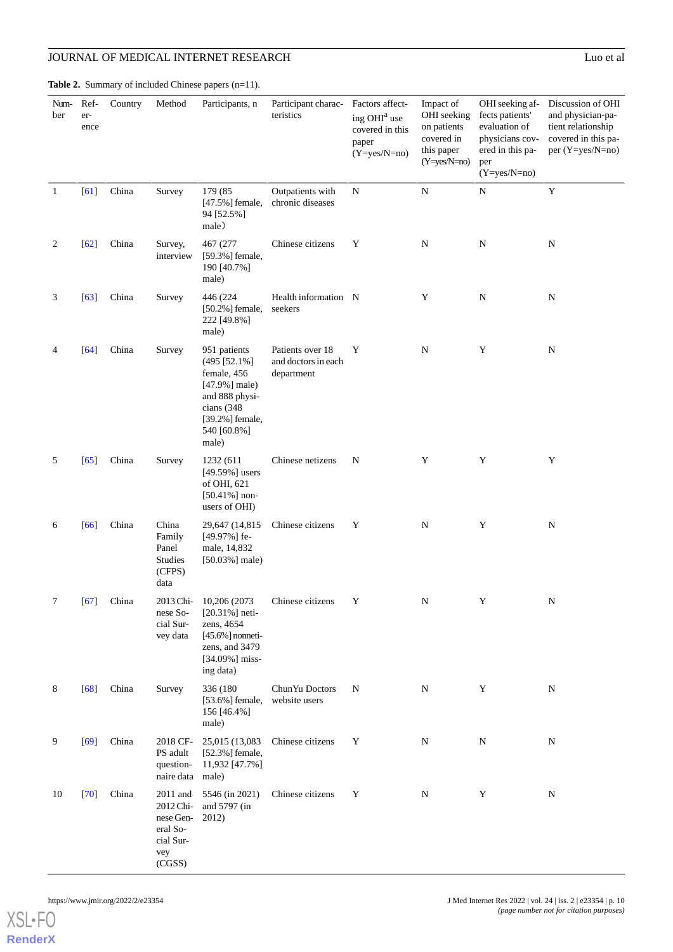Country Method Participants, n

<span id="page-9-0"></span>Table 2. Summary of included Chinese papers (n=11).

erence

Number

| Participant charac-<br>teristics | Factors affect-<br>ing OHI <sup>a</sup> use<br>covered in this<br>paper<br>$(Y=yes/N=no)$ | Impact of<br>OHI seeking<br>on patients<br>covered in<br>this paper<br>$(Y=ves/N=no)$ | OHI seeking af-<br>fects patients'<br>evaluation of<br>physicians cov-<br>ered in this pa-<br>per<br>$(Y=ves/N=no)$ | Discussion of OHI<br>and physician-pa-<br>tient relationship<br>covered in this pa-<br>per $(Y=yes/N=no)$ |
|----------------------------------|-------------------------------------------------------------------------------------------|---------------------------------------------------------------------------------------|---------------------------------------------------------------------------------------------------------------------|-----------------------------------------------------------------------------------------------------------|
| Outpatients with                 | N                                                                                         | N                                                                                     | N                                                                                                                   |                                                                                                           |

|              |                    |       |                                                                              |                                                                                                                                                |                                                       | $(1 - y \cos 1 - \cos 1)$ | $(Y=yes/N=no)$ | per<br>$(Y=yes/N=no)$ |             |
|--------------|--------------------|-------|------------------------------------------------------------------------------|------------------------------------------------------------------------------------------------------------------------------------------------|-------------------------------------------------------|---------------------------|----------------|-----------------------|-------------|
| $\mathbf{1}$ | [61]               | China | Survey                                                                       | 179 (85<br>[47.5%] female,<br>94 [52.5%]<br>male)                                                                                              | Outpatients with<br>chronic diseases                  | $\mathbf N$               | ${\bf N}$      | ${\bf N}$             | Y           |
| 2            | $[62]$             | China | Survey,<br>interview                                                         | 467 (277<br>[59.3%] female,<br>190 [40.7%]<br>male)                                                                                            | Chinese citizens                                      | Y                         | ${\bf N}$      | $\mathbf N$           | ${\bf N}$   |
| 3            | $[63]$             | China | Survey                                                                       | 446 (224<br>$[50.2\%]$ female,<br>222 [49.8%]<br>male)                                                                                         | Health information N<br>seekers                       |                           | Y              | $\mathbf N$           | $\mathbf N$ |
| 4            | $[64]$             | China | Survey                                                                       | 951 patients<br>$(495 [52.1\%])$<br>female, 456<br>$[47.9\%]$ male)<br>and 888 physi-<br>cians (348<br>[39.2%] female,<br>540 [60.8%]<br>male) | Patients over 18<br>and doctors in each<br>department | Y                         | $\mathbf N$    | Y                     | $\mathbf N$ |
| 5            | $[65]$             | China | Survey                                                                       | 1232 (611)<br>[49.59%] users<br>of OHI, 621<br>$[50.41\%]$ non-<br>users of OHI)                                                               | Chinese netizens                                      | N                         | Y              | Y                     | Y           |
| 6            | $[66]$             | China | China<br>Family<br>Panel<br><b>Studies</b><br>(CFPS)<br>data                 | 29,647 (14,815<br>[49.97%] fe-<br>male, 14,832<br>$[50.03\%]$ male)                                                                            | Chinese citizens                                      | Y                         | $\mathbf N$    | Y                     | $\mathbf N$ |
| 7            | $\lceil 67 \rceil$ | China | 2013 Chi-<br>nese So-<br>cial Sur-<br>vey data                               | 10,206 (2073)<br>$[20.31\%]$ neti-<br>zens, 4654<br>$[45.6\%]$ nonneti-<br>zens, and 3479<br>[34.09%] miss-<br>ing data)                       | Chinese citizens                                      | Y                         | ${\bf N}$      | Y                     | $\mathbf N$ |
| 8            | $[68]$             | China | Survey                                                                       | 336 (180<br>[53.6%] female,<br>156 [46.4%]<br>male)                                                                                            | ChunYu Doctors<br>website users                       | $\mathbf N$               | ${\bf N}$      | Y                     | $\mathbf N$ |
| 9            | $[69]$             | China | 2018 CF-<br>PS adult<br>question-<br>naire data male)                        | 25,015 (13,083)<br>[52.3%] female,<br>11,932 [47.7%]                                                                                           | Chinese citizens                                      | Y                         | $\mathbf N$    | N                     | ${\bf N}$   |
| 10           | [70]               | China | 2011 and<br>2012 Chi-<br>nese Gen-<br>eral So-<br>cial Sur-<br>vey<br>(CGSS) | 5546 (in 2021)<br>and 5797 (in<br>2012)                                                                                                        | Chinese citizens                                      | Y                         | $\mathbf N$    | Y                     | N           |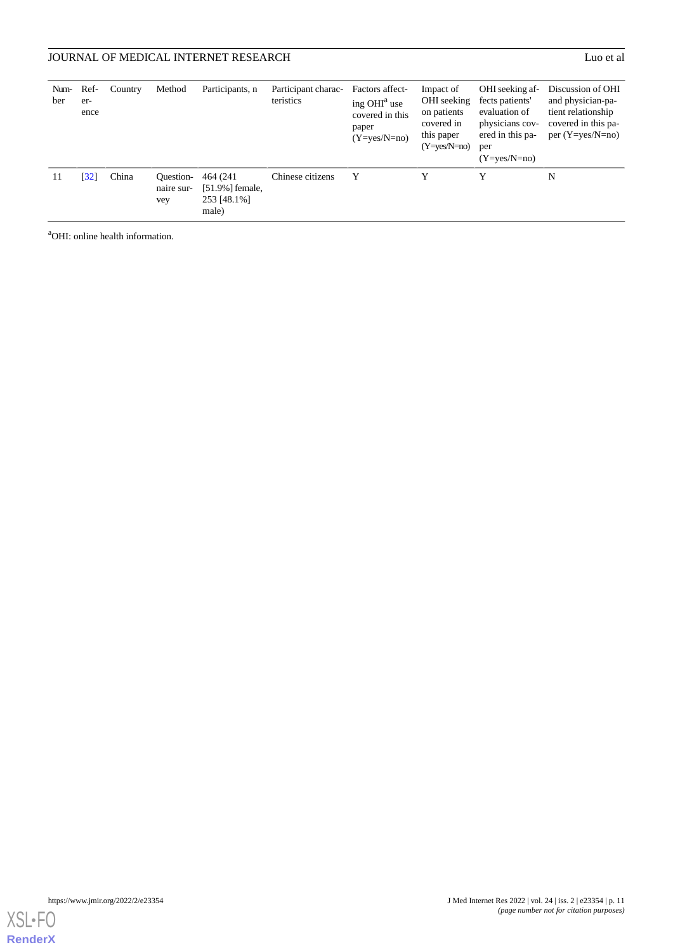| Num-<br>ber | Ref-<br>er-<br>ence | Country | Method                         | Participants, n                                         | Participant charac-<br>teristics | Factors affect-<br>ing $OHIa$ use<br>covered in this<br>paper<br>$(Y=ves/N=no)$ | Impact of<br>OHI seeking<br>on patients<br>covered in<br>this paper<br>$(Y=ves/N=no)$ | OHI seeking af-<br>fects patients'<br>evaluation of<br>physicians cov-<br>ered in this pa-<br>per<br>$(Y=ves/N=no)$ | Discussion of OHI<br>and physician-pa-<br>tient relationship<br>covered in this pa-<br>per $(Y=yes/N=no)$ |
|-------------|---------------------|---------|--------------------------------|---------------------------------------------------------|----------------------------------|---------------------------------------------------------------------------------|---------------------------------------------------------------------------------------|---------------------------------------------------------------------------------------------------------------------|-----------------------------------------------------------------------------------------------------------|
| 11          | [32]                | China   | Ouestion-<br>naire sur-<br>vey | 464 (241)<br>$[51.9\%]$ female,<br>253 [48.1%]<br>male) | Chinese citizens                 | Y                                                                               | Y                                                                                     | Y                                                                                                                   | N                                                                                                         |

<sup>a</sup>OHI: online health information.

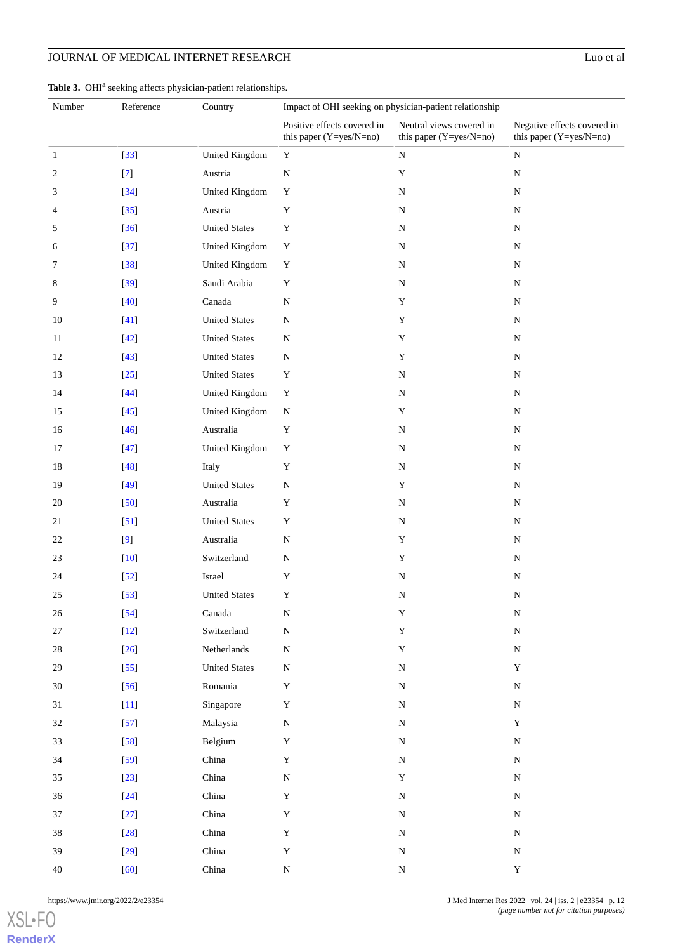#### <span id="page-11-0"></span>Table 3. OHI<sup>a</sup> seeking affects physician-patient relationships.

| Number       | Reference | Country              | Impact of OHI seeking on physician-patient relationship  |                                                       |                                                        |
|--------------|-----------|----------------------|----------------------------------------------------------|-------------------------------------------------------|--------------------------------------------------------|
|              |           |                      | Positive effects covered in<br>this paper $(Y=yes/N=no)$ | Neutral views covered in<br>this paper $(Y=yes/N=no)$ | Negative effects covered in<br>this paper (Y=yes/N=no) |
| $\mathbf{1}$ | $[33]$    | United Kingdom       | $\mathbf Y$                                              | ${\bf N}$                                             | ${\bf N}$                                              |
| 2            | $[7]$     | Austria              | ${\bf N}$                                                | $\mathbf Y$                                           | ${\bf N}$                                              |
| 3            | $[34]$    | United Kingdom       | Y                                                        | ${\bf N}$                                             | ${\bf N}$                                              |
| 4            | $[35]$    | Austria              | $\mathbf Y$                                              | ${\bf N}$                                             | ${\bf N}$                                              |
| 5            | $[36]$    | <b>United States</b> | Y                                                        | ${\bf N}$                                             | ${\bf N}$                                              |
| 6            | $[37]$    | United Kingdom       | $\mathbf Y$                                              | ${\bf N}$                                             | ${\bf N}$                                              |
| 7            | $[38]$    | United Kingdom       | $\mathbf Y$                                              | ${\bf N}$                                             | ${\bf N}$                                              |
| 8            | $[39]$    | Saudi Arabia         | $\mathbf Y$                                              | ${\bf N}$                                             | ${\bf N}$                                              |
| 9            | $[40]$    | Canada               | ${\bf N}$                                                | $\mathbf Y$                                           | ${\bf N}$                                              |
| 10           | $[41]$    | <b>United States</b> | ${\bf N}$                                                | Y                                                     | ${\bf N}$                                              |
| 11           | $[42]$    | <b>United States</b> | ${\bf N}$                                                | $\mathbf Y$                                           | ${\bf N}$                                              |
| 12           | $[43]$    | <b>United States</b> | ${\bf N}$                                                | $\mathbf Y$                                           | ${\bf N}$                                              |
| 13           | $[25]$    | <b>United States</b> | Y                                                        | ${\bf N}$                                             | ${\bf N}$                                              |
| 14           | $[44]$    | United Kingdom       | $\mathbf Y$                                              | ${\bf N}$                                             | ${\bf N}$                                              |
| 15           | $[45]$    | United Kingdom       | ${\bf N}$                                                | Y                                                     | ${\bf N}$                                              |
| 16           | $[46]$    | Australia            | $\mathbf Y$                                              | ${\bf N}$                                             | ${\bf N}$                                              |
| 17           | $[47]$    | United Kingdom       | $\mathbf Y$                                              | ${\bf N}$                                             | ${\bf N}$                                              |
| 18           | $[48]$    | Italy                | $\mathbf Y$                                              | ${\bf N}$                                             | ${\bf N}$                                              |
| 19           | $[49]$    | <b>United States</b> | ${\bf N}$                                                | $\mathbf Y$                                           | ${\bf N}$                                              |
| 20           | $[50]$    | Australia            | Y                                                        | ${\bf N}$                                             | ${\bf N}$                                              |
| 21           | $[51]$    | <b>United States</b> | Y                                                        | ${\bf N}$                                             | ${\bf N}$                                              |
| 22           | [9]       | Australia            | ${\bf N}$                                                | $\mathbf Y$                                           | ${\bf N}$                                              |
| 23           | $[10]$    | Switzerland          | ${\bf N}$                                                | Y                                                     | ${\bf N}$                                              |
| 24           | $[52]$    | Israel               | $\mathbf Y$                                              | ${\bf N}$                                             | ${\bf N}$                                              |
| 25           | $[53]$    | <b>United States</b> | Y                                                        | ${\bf N}$                                             | ${\bf N}$                                              |
| 26           | $[54]$    | Canada               | ${\bf N}$                                                | $\mathbf Y$                                           | ${\bf N}$                                              |
| 27           | $[12]$    | Switzerland          | ${\bf N}$                                                | $\mathbf Y$                                           | ${\bf N}$                                              |
| 28           | $[26]$    | Netherlands          | ${\bf N}$                                                | $\mathbf Y$                                           | ${\bf N}$                                              |
| 29           | $[55]$    | <b>United States</b> | ${\bf N}$                                                | ${\bf N}$                                             | $\mathbf Y$                                            |
| 30           | $[56]$    | Romania              | Y                                                        | ${\bf N}$                                             | ${\bf N}$                                              |
| 31           | $[11]$    | Singapore            | $\mathbf Y$                                              | ${\bf N}$                                             | ${\bf N}$                                              |
| $32\,$       | $[57]$    | Malaysia             | ${\bf N}$                                                | ${\bf N}$                                             | $\mathbf Y$                                            |
| 33           | $[58]$    | Belgium              | $\mathbf Y$                                              | ${\bf N}$                                             | ${\bf N}$                                              |
| 34           | $[59]$    | China                | $\mathbf Y$                                              | ${\bf N}$                                             | ${\bf N}$                                              |
| $35\,$       | $[23]$    | China                | ${\bf N}$                                                | $\mathbf Y$                                           | ${\bf N}$                                              |
| 36           | $[24]$    | China                | $\mathbf Y$                                              | ${\bf N}$                                             | ${\bf N}$                                              |
| 37           | $[27]$    | China                | $\mathbf Y$                                              | ${\bf N}$                                             | ${\bf N}$                                              |
| 38           | $[28]$    | China                | $\mathbf Y$                                              | ${\bf N}$                                             | ${\bf N}$                                              |
| 39           | $[29]$    | China                | $\mathbf Y$                                              | ${\bf N}$                                             | ${\bf N}$                                              |
| 40           | [60]      | China                | ${\bf N}$                                                | ${\bf N}$                                             | $\mathbf Y$                                            |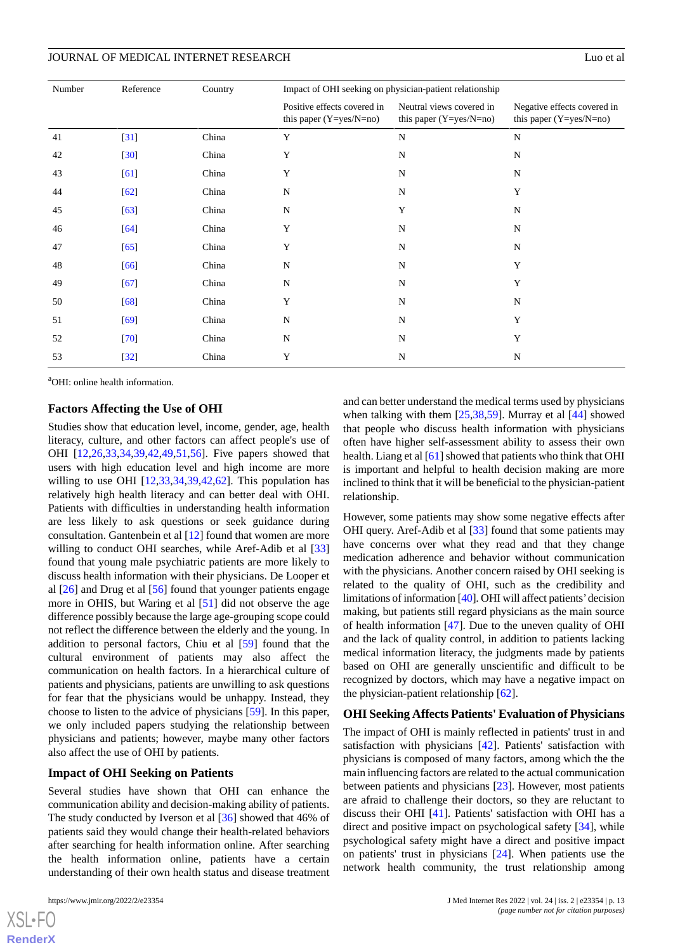| Number | Reference | Country | Impact of OHI seeking on physician-patient relationship  |                                                       |                                                          |  |  |
|--------|-----------|---------|----------------------------------------------------------|-------------------------------------------------------|----------------------------------------------------------|--|--|
|        |           |         | Positive effects covered in<br>this paper $(Y=yes/N=no)$ | Neutral views covered in<br>this paper $(Y=yes/N=no)$ | Negative effects covered in<br>this paper $(Y=yes/N=no)$ |  |  |
| 41     | $[31]$    | China   | Y                                                        | $\mathbf N$                                           | N                                                        |  |  |
| 42     | $[30]$    | China   | Y                                                        | N                                                     | N                                                        |  |  |
| 43     | [61]      | China   | Y                                                        | N                                                     | N                                                        |  |  |
| 44     | [62]      | China   | N                                                        | N                                                     | Y                                                        |  |  |
| 45     | $[63]$    | China   | N                                                        | Y                                                     | $\mathbf N$                                              |  |  |
| 46     | $[64]$    | China   | Y                                                        | N                                                     | N                                                        |  |  |
| 47     | [65]      | China   | Y                                                        | N                                                     | $\mathbf N$                                              |  |  |
| 48     | $[66]$    | China   | N                                                        | N                                                     | Y                                                        |  |  |
| 49     | $[67]$    | China   | $\mathbf N$                                              | N                                                     | Y                                                        |  |  |
| 50     | [68]      | China   | Y                                                        | N                                                     | $\mathbf N$                                              |  |  |
| 51     | [69]      | China   | N                                                        | N                                                     | Y                                                        |  |  |
| 52     | $[70]$    | China   | N                                                        | N                                                     | Y                                                        |  |  |
| 53     | $[32]$    | China   | Y                                                        | $\mathbf N$                                           | $\mathbf N$                                              |  |  |

<sup>a</sup>OHI: online health information.

#### **Factors Affecting the Use of OHI**

Studies show that education level, income, gender, age, health literacy, culture, and other factors can affect people's use of OHI [\[12](#page-15-11),[26](#page-16-15)[,33](#page-16-7),[34](#page-16-8)[,39](#page-16-13),[42](#page-17-2)[,49](#page-17-9),[51](#page-17-11)[,56](#page-17-16)]. Five papers showed that users with high education level and high income are more willing to use OHI  $[12,33,34,39,42,62]$  $[12,33,34,39,42,62]$  $[12,33,34,39,42,62]$  $[12,33,34,39,42,62]$  $[12,33,34,39,42,62]$  $[12,33,34,39,42,62]$  $[12,33,34,39,42,62]$  $[12,33,34,39,42,62]$  $[12,33,34,39,42,62]$ . This population has relatively high health literacy and can better deal with OHI. Patients with difficulties in understanding health information are less likely to ask questions or seek guidance during consultation. Gantenbein et al [[12\]](#page-15-11) found that women are more willing to conduct OHI searches, while Aref-Adib et al [\[33](#page-16-7)] found that young male psychiatric patients are more likely to discuss health information with their physicians. De Looper et al [[26\]](#page-16-15) and Drug et al [[56\]](#page-17-16) found that younger patients engage more in OHIS, but Waring et al [\[51](#page-17-11)] did not observe the age difference possibly because the large age-grouping scope could not reflect the difference between the elderly and the young. In addition to personal factors, Chiu et al [[59\]](#page-17-19) found that the cultural environment of patients may also affect the communication on health factors. In a hierarchical culture of patients and physicians, patients are unwilling to ask questions for fear that the physicians would be unhappy. Instead, they choose to listen to the advice of physicians [[59\]](#page-17-19). In this paper, we only included papers studying the relationship between physicians and patients; however, maybe many other factors also affect the use of OHI by patients.

#### **Impact of OHI Seeking on Patients**

Several studies have shown that OHI can enhance the communication ability and decision-making ability of patients. The study conducted by Iverson et al [\[36](#page-16-10)] showed that 46% of patients said they would change their health-related behaviors after searching for health information online. After searching the health information online, patients have a certain understanding of their own health status and disease treatment

 $XS$ -FO **[RenderX](http://www.renderx.com/)** and can better understand the medical terms used by physicians when talking with them [[25](#page-16-14)[,38](#page-16-12),[59\]](#page-17-19). Murray et al [\[44](#page-17-4)] showed that people who discuss health information with physicians often have higher self-assessment ability to assess their own health. Liang et al [\[61](#page-18-0)] showed that patients who think that OHI is important and helpful to health decision making are more inclined to think that it will be beneficial to the physician-patient relationship.

However, some patients may show some negative effects after OHI query. Aref-Adib et al [\[33](#page-16-7)] found that some patients may have concerns over what they read and that they change medication adherence and behavior without communication with the physicians. Another concern raised by OHI seeking is related to the quality of OHI, such as the credibility and limitations of information [\[40](#page-17-0)]. OHI will affect patients'decision making, but patients still regard physicians as the main source of health information [\[47](#page-17-7)]. Due to the uneven quality of OHI and the lack of quality control, in addition to patients lacking medical information literacy, the judgments made by patients based on OHI are generally unscientific and difficult to be recognized by doctors, which may have a negative impact on the physician-patient relationship [[62\]](#page-18-1).

#### **OHI Seeking Affects Patients' Evaluation of Physicians**

The impact of OHI is mainly reflected in patients' trust in and satisfaction with physicians [\[42](#page-17-2)]. Patients' satisfaction with physicians is composed of many factors, among which the the main influencing factors are related to the actual communication between patients and physicians [[23\]](#page-16-5). However, most patients are afraid to challenge their doctors, so they are reluctant to discuss their OHI [[41\]](#page-17-1). Patients' satisfaction with OHI has a direct and positive impact on psychological safety [[34\]](#page-16-8), while psychological safety might have a direct and positive impact on patients' trust in physicians [\[24](#page-16-16)]. When patients use the network health community, the trust relationship among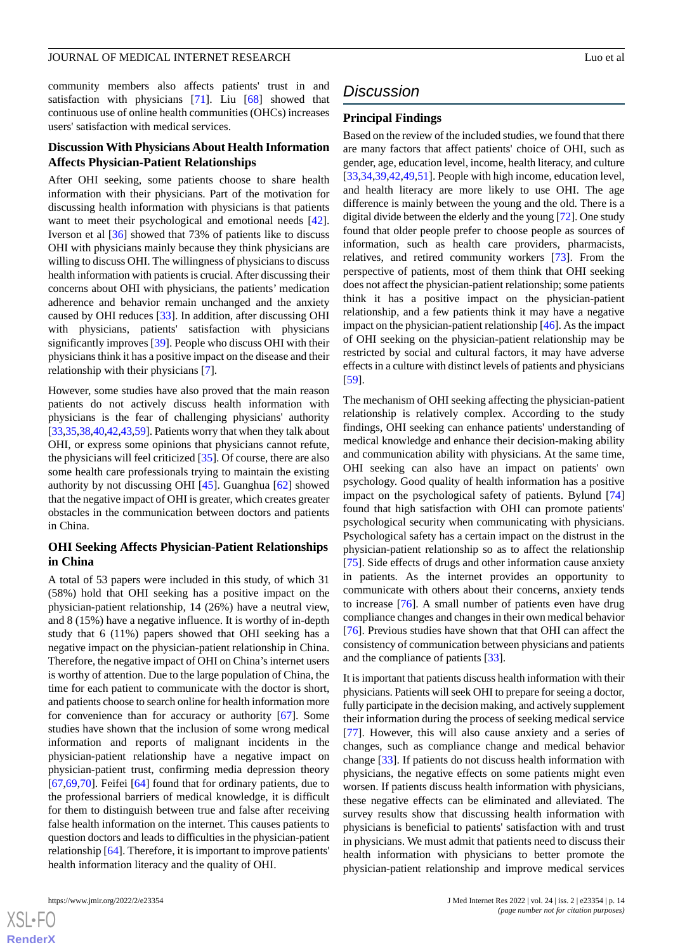community members also affects patients' trust in and satisfaction with physicians [\[71](#page-18-10)]. Liu [\[68](#page-18-7)] showed that continuous use of online health communities (OHCs) increases users' satisfaction with medical services.

#### **Discussion With Physicians About Health Information Affects Physician-Patient Relationships**

After OHI seeking, some patients choose to share health information with their physicians. Part of the motivation for discussing health information with physicians is that patients want to meet their psychological and emotional needs [[42\]](#page-17-2). Iverson et al [\[36](#page-16-10)] showed that 73% of patients like to discuss OHI with physicians mainly because they think physicians are willing to discuss OHI. The willingness of physicians to discuss health information with patients is crucial. After discussing their concerns about OHI with physicians, the patients' medication adherence and behavior remain unchanged and the anxiety caused by OHI reduces [[33\]](#page-16-7). In addition, after discussing OHI with physicians, patients' satisfaction with physicians significantly improves [[39\]](#page-16-13). People who discuss OHI with their physicians think it has a positive impact on the disease and their relationship with their physicians [\[7](#page-15-6)].

However, some studies have also proved that the main reason patients do not actively discuss health information with physicians is the fear of challenging physicians' authority [[33,](#page-16-7)[35](#page-16-9)[,38](#page-16-12)[,40](#page-17-0),[42,](#page-17-2)[43](#page-17-3)[,59](#page-17-19)]. Patients worry that when they talk about OHI, or express some opinions that physicians cannot refute, the physicians will feel criticized [\[35](#page-16-9)]. Of course, there are also some health care professionals trying to maintain the existing authority by not discussing OHI [[45\]](#page-17-5). Guanghua [\[62](#page-18-1)] showed that the negative impact of OHI is greater, which creates greater obstacles in the communication between doctors and patients in China.

#### **OHI Seeking Affects Physician-Patient Relationships in China**

A total of 53 papers were included in this study, of which 31 (58%) hold that OHI seeking has a positive impact on the physician-patient relationship, 14 (26%) have a neutral view, and 8 (15%) have a negative influence. It is worthy of in-depth study that 6 (11%) papers showed that OHI seeking has a negative impact on the physician-patient relationship in China. Therefore, the negative impact of OHI on China's internet users is worthy of attention. Due to the large population of China, the time for each patient to communicate with the doctor is short, and patients choose to search online for health information more for convenience than for accuracy or authority [\[67](#page-18-6)]. Some studies have shown that the inclusion of some wrong medical information and reports of malignant incidents in the physician-patient relationship have a negative impact on physician-patient trust, confirming media depression theory [[67](#page-18-6)[,69](#page-18-8),[70\]](#page-18-9). Feifei [[64\]](#page-18-3) found that for ordinary patients, due to the professional barriers of medical knowledge, it is difficult for them to distinguish between true and false after receiving false health information on the internet. This causes patients to question doctors and leads to difficulties in the physician-patient relationship [\[64](#page-18-3)]. Therefore, it is important to improve patients' health information literacy and the quality of OHI.

 $XS$  • FC **[RenderX](http://www.renderx.com/)**

# *Discussion*

#### **Principal Findings**

Based on the review of the included studies, we found that there are many factors that affect patients' choice of OHI, such as gender, age, education level, income, health literacy, and culture [[33,](#page-16-7)[34,](#page-16-8)[39](#page-16-13)[,42](#page-17-2),[49,](#page-17-9)[51\]](#page-17-11). People with high income, education level, and health literacy are more likely to use OHI. The age difference is mainly between the young and the old. There is a digital divide between the elderly and the young [\[72](#page-18-11)]. One study found that older people prefer to choose people as sources of information, such as health care providers, pharmacists, relatives, and retired community workers [\[73](#page-18-12)]. From the perspective of patients, most of them think that OHI seeking does not affect the physician-patient relationship; some patients think it has a positive impact on the physician-patient relationship, and a few patients think it may have a negative impact on the physician-patient relationship [\[46\]](#page-17-6). As the impact of OHI seeking on the physician-patient relationship may be restricted by social and cultural factors, it may have adverse effects in a culture with distinct levels of patients and physicians [[59\]](#page-17-19).

The mechanism of OHI seeking affecting the physician-patient relationship is relatively complex. According to the study findings, OHI seeking can enhance patients' understanding of medical knowledge and enhance their decision-making ability and communication ability with physicians. At the same time, OHI seeking can also have an impact on patients' own psychology. Good quality of health information has a positive impact on the psychological safety of patients. Bylund [\[74](#page-18-13)] found that high satisfaction with OHI can promote patients' psychological security when communicating with physicians. Psychological safety has a certain impact on the distrust in the physician-patient relationship so as to affect the relationship [[75\]](#page-18-14). Side effects of drugs and other information cause anxiety in patients. As the internet provides an opportunity to communicate with others about their concerns, anxiety tends to increase [\[76](#page-18-15)]. A small number of patients even have drug compliance changes and changes in their own medical behavior [[76\]](#page-18-15). Previous studies have shown that that OHI can affect the consistency of communication between physicians and patients and the compliance of patients [[33\]](#page-16-7).

It is important that patients discuss health information with their physicians. Patients will seek OHI to prepare for seeing a doctor, fully participate in the decision making, and actively supplement their information during the process of seeking medical service [[77\]](#page-18-16). However, this will also cause anxiety and a series of changes, such as compliance change and medical behavior change [[33\]](#page-16-7). If patients do not discuss health information with physicians, the negative effects on some patients might even worsen. If patients discuss health information with physicians, these negative effects can be eliminated and alleviated. The survey results show that discussing health information with physicians is beneficial to patients' satisfaction with and trust in physicians. We must admit that patients need to discuss their health information with physicians to better promote the physician-patient relationship and improve medical services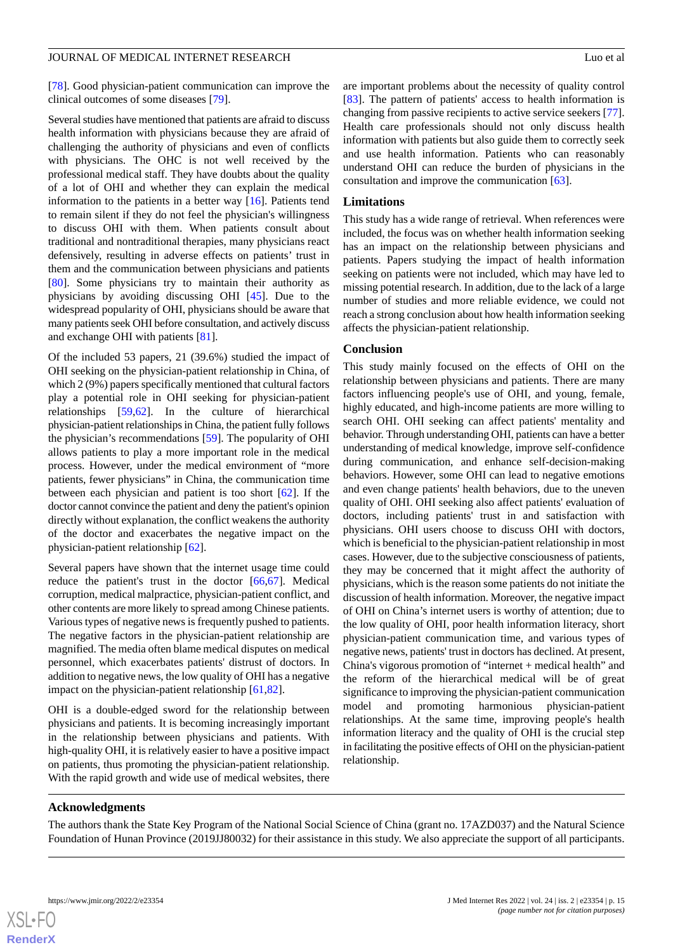[[78\]](#page-18-17). Good physician-patient communication can improve the clinical outcomes of some diseases [\[79](#page-18-18)].

Several studies have mentioned that patients are afraid to discuss health information with physicians because they are afraid of challenging the authority of physicians and even of conflicts with physicians. The OHC is not well received by the professional medical staff. They have doubts about the quality of a lot of OHI and whether they can explain the medical information to the patients in a better way [[16\]](#page-15-15). Patients tend to remain silent if they do not feel the physician's willingness to discuss OHI with them. When patients consult about traditional and nontraditional therapies, many physicians react defensively, resulting in adverse effects on patients' trust in them and the communication between physicians and patients [[80\]](#page-18-19). Some physicians try to maintain their authority as physicians by avoiding discussing OHI [[45\]](#page-17-5). Due to the widespread popularity of OHI, physicians should be aware that many patients seek OHI before consultation, and actively discuss and exchange OHI with patients [\[81](#page-18-20)].

Of the included 53 papers, 21 (39.6%) studied the impact of OHI seeking on the physician-patient relationship in China, of which 2 (9%) papers specifically mentioned that cultural factors play a potential role in OHI seeking for physician-patient relationships [\[59](#page-17-19),[62\]](#page-18-1). In the culture of hierarchical physician-patient relationships in China, the patient fully follows the physician's recommendations [\[59](#page-17-19)]. The popularity of OHI allows patients to play a more important role in the medical process. However, under the medical environment of "more patients, fewer physicians" in China, the communication time between each physician and patient is too short [[62\]](#page-18-1). If the doctor cannot convince the patient and deny the patient's opinion directly without explanation, the conflict weakens the authority of the doctor and exacerbates the negative impact on the physician-patient relationship [[62\]](#page-18-1).

Several papers have shown that the internet usage time could reduce the patient's trust in the doctor [\[66](#page-18-5),[67\]](#page-18-6). Medical corruption, medical malpractice, physician-patient conflict, and other contents are more likely to spread among Chinese patients. Various types of negative news is frequently pushed to patients. The negative factors in the physician-patient relationship are magnified. The media often blame medical disputes on medical personnel, which exacerbates patients' distrust of doctors. In addition to negative news, the low quality of OHI has a negative impact on the physician-patient relationship [[61](#page-18-0)[,82](#page-18-21)].

OHI is a double-edged sword for the relationship between physicians and patients. It is becoming increasingly important in the relationship between physicians and patients. With high-quality OHI, it is relatively easier to have a positive impact on patients, thus promoting the physician-patient relationship. With the rapid growth and wide use of medical websites, there

are important problems about the necessity of quality control [[83\]](#page-18-22). The pattern of patients' access to health information is changing from passive recipients to active service seekers [[77\]](#page-18-16). Health care professionals should not only discuss health information with patients but also guide them to correctly seek and use health information. Patients who can reasonably understand OHI can reduce the burden of physicians in the consultation and improve the communication [\[63](#page-18-2)].

#### **Limitations**

This study has a wide range of retrieval. When references were included, the focus was on whether health information seeking has an impact on the relationship between physicians and patients. Papers studying the impact of health information seeking on patients were not included, which may have led to missing potential research. In addition, due to the lack of a large number of studies and more reliable evidence, we could not reach a strong conclusion about how health information seeking affects the physician-patient relationship.

#### **Conclusion**

This study mainly focused on the effects of OHI on the relationship between physicians and patients. There are many factors influencing people's use of OHI, and young, female, highly educated, and high-income patients are more willing to search OHI. OHI seeking can affect patients' mentality and behavior. Through understanding OHI, patients can have a better understanding of medical knowledge, improve self-confidence during communication, and enhance self-decision-making behaviors. However, some OHI can lead to negative emotions and even change patients' health behaviors, due to the uneven quality of OHI. OHI seeking also affect patients' evaluation of doctors, including patients' trust in and satisfaction with physicians. OHI users choose to discuss OHI with doctors, which is beneficial to the physician-patient relationship in most cases. However, due to the subjective consciousness of patients, they may be concerned that it might affect the authority of physicians, which is the reason some patients do not initiate the discussion of health information. Moreover, the negative impact of OHI on China's internet users is worthy of attention; due to the low quality of OHI, poor health information literacy, short physician-patient communication time, and various types of negative news, patients' trust in doctors has declined. At present, China's vigorous promotion of "internet + medical health" and the reform of the hierarchical medical will be of great significance to improving the physician-patient communication model and promoting harmonious physician-patient relationships. At the same time, improving people's health information literacy and the quality of OHI is the crucial step in facilitating the positive effects of OHI on the physician-patient relationship.

#### **Acknowledgments**

The authors thank the State Key Program of the National Social Science of China (grant no. 17AZD037) and the Natural Science Foundation of Hunan Province (2019JJ80032) for their assistance in this study. We also appreciate the support of all participants.

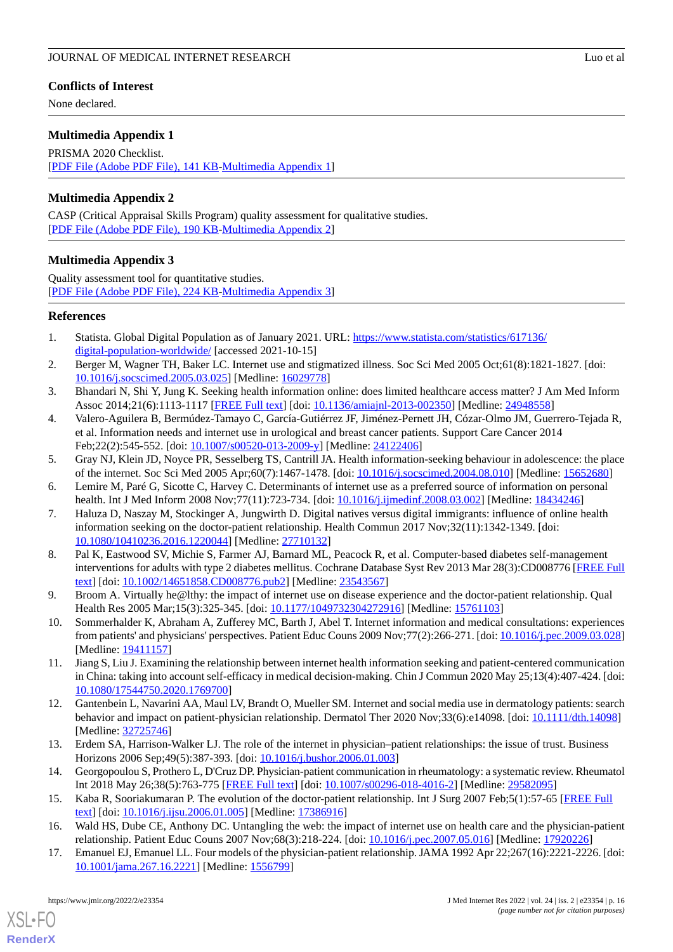#### **Conflicts of Interest**

None declared.

#### <span id="page-15-17"></span>**Multimedia Appendix 1**

PRISMA 2020 Checklist. [[PDF File \(Adobe PDF File\), 141 KB](https://jmir.org/api/download?alt_name=jmir_v24i2e23354_app1.pdf&filename=8638819ef4828853e48766ae732bb9fc.pdf)-[Multimedia Appendix 1\]](https://jmir.org/api/download?alt_name=jmir_v24i2e23354_app1.pdf&filename=8638819ef4828853e48766ae732bb9fc.pdf)

#### <span id="page-15-18"></span>**Multimedia Appendix 2**

<span id="page-15-19"></span>CASP (Critical Appraisal Skills Program) quality assessment for qualitative studies. [[PDF File \(Adobe PDF File\), 190 KB](https://jmir.org/api/download?alt_name=jmir_v24i2e23354_app2.pdf&filename=d312cd21cc0b57a8b245bf6666c290e4.pdf)-[Multimedia Appendix 2\]](https://jmir.org/api/download?alt_name=jmir_v24i2e23354_app2.pdf&filename=d312cd21cc0b57a8b245bf6666c290e4.pdf)

#### **Multimedia Appendix 3**

Quality assessment tool for quantitative studies. [[PDF File \(Adobe PDF File\), 224 KB](https://jmir.org/api/download?alt_name=jmir_v24i2e23354_app3.pdf&filename=c01023e5feb178e02d059cb45c6a2c9f.pdf)-[Multimedia Appendix 3\]](https://jmir.org/api/download?alt_name=jmir_v24i2e23354_app3.pdf&filename=c01023e5feb178e02d059cb45c6a2c9f.pdf)

#### <span id="page-15-0"></span>**References**

- <span id="page-15-1"></span>1. Statista. Global Digital Population as of January 2021. URL: [https://www.statista.com/statistics/617136/](https://www.statista.com/statistics/617136/digital-population-worldwide/) [digital-population-worldwide/](https://www.statista.com/statistics/617136/digital-population-worldwide/) [accessed 2021-10-15]
- <span id="page-15-3"></span><span id="page-15-2"></span>2. Berger M, Wagner TH, Baker LC. Internet use and stigmatized illness. Soc Sci Med 2005 Oct;61(8):1821-1827. [doi: [10.1016/j.socscimed.2005.03.025](http://dx.doi.org/10.1016/j.socscimed.2005.03.025)] [Medline: [16029778](http://www.ncbi.nlm.nih.gov/entrez/query.fcgi?cmd=Retrieve&db=PubMed&list_uids=16029778&dopt=Abstract)]
- 3. Bhandari N, Shi Y, Jung K. Seeking health information online: does limited healthcare access matter? J Am Med Inform Assoc 2014;21(6):1113-1117 [[FREE Full text](http://europepmc.org/abstract/MED/24948558)] [doi: [10.1136/amiajnl-2013-002350](http://dx.doi.org/10.1136/amiajnl-2013-002350)] [Medline: [24948558](http://www.ncbi.nlm.nih.gov/entrez/query.fcgi?cmd=Retrieve&db=PubMed&list_uids=24948558&dopt=Abstract)]
- <span id="page-15-5"></span><span id="page-15-4"></span>4. Valero-Aguilera B, Bermúdez-Tamayo C, García-Gutiérrez JF, Jiménez-Pernett JH, Cózar-Olmo JM, Guerrero-Tejada R, et al. Information needs and internet use in urological and breast cancer patients. Support Care Cancer 2014 Feb;22(2):545-552. [doi: [10.1007/s00520-013-2009-y\]](http://dx.doi.org/10.1007/s00520-013-2009-y) [Medline: [24122406](http://www.ncbi.nlm.nih.gov/entrez/query.fcgi?cmd=Retrieve&db=PubMed&list_uids=24122406&dopt=Abstract)]
- <span id="page-15-6"></span>5. Gray NJ, Klein JD, Noyce PR, Sesselberg TS, Cantrill JA. Health information-seeking behaviour in adolescence: the place of the internet. Soc Sci Med 2005 Apr;60(7):1467-1478. [doi: [10.1016/j.socscimed.2004.08.010\]](http://dx.doi.org/10.1016/j.socscimed.2004.08.010) [Medline: [15652680\]](http://www.ncbi.nlm.nih.gov/entrez/query.fcgi?cmd=Retrieve&db=PubMed&list_uids=15652680&dopt=Abstract)
- <span id="page-15-7"></span>6. Lemire M, Paré G, Sicotte C, Harvey C. Determinants of internet use as a preferred source of information on personal health. Int J Med Inform 2008 Nov;77(11):723-734. [doi: [10.1016/j.ijmedinf.2008.03.002\]](http://dx.doi.org/10.1016/j.ijmedinf.2008.03.002) [Medline: [18434246](http://www.ncbi.nlm.nih.gov/entrez/query.fcgi?cmd=Retrieve&db=PubMed&list_uids=18434246&dopt=Abstract)]
- 7. Haluza D, Naszay M, Stockinger A, Jungwirth D. Digital natives versus digital immigrants: influence of online health information seeking on the doctor-patient relationship. Health Commun 2017 Nov;32(11):1342-1349. [doi: [10.1080/10410236.2016.1220044\]](http://dx.doi.org/10.1080/10410236.2016.1220044) [Medline: [27710132\]](http://www.ncbi.nlm.nih.gov/entrez/query.fcgi?cmd=Retrieve&db=PubMed&list_uids=27710132&dopt=Abstract)
- <span id="page-15-9"></span><span id="page-15-8"></span>8. Pal K, Eastwood SV, Michie S, Farmer AJ, Barnard ML, Peacock R, et al. Computer-based diabetes self-management interventions for adults with type 2 diabetes mellitus. Cochrane Database Syst Rev 2013 Mar 28(3):CD008776 [\[FREE Full](http://europepmc.org/abstract/MED/23543567) [text](http://europepmc.org/abstract/MED/23543567)] [doi: [10.1002/14651858.CD008776.pub2\]](http://dx.doi.org/10.1002/14651858.CD008776.pub2) [Medline: [23543567](http://www.ncbi.nlm.nih.gov/entrez/query.fcgi?cmd=Retrieve&db=PubMed&list_uids=23543567&dopt=Abstract)]
- <span id="page-15-10"></span>9. Broom A. Virtually he@lthy: the impact of internet use on disease experience and the doctor-patient relationship. Qual Health Res 2005 Mar;15(3):325-345. [doi: [10.1177/1049732304272916\]](http://dx.doi.org/10.1177/1049732304272916) [Medline: [15761103](http://www.ncbi.nlm.nih.gov/entrez/query.fcgi?cmd=Retrieve&db=PubMed&list_uids=15761103&dopt=Abstract)]
- <span id="page-15-11"></span>10. Sommerhalder K, Abraham A, Zufferey MC, Barth J, Abel T. Internet information and medical consultations: experiences from patients' and physicians' perspectives. Patient Educ Couns 2009 Nov;77(2):266-271. [doi: [10.1016/j.pec.2009.03.028](http://dx.doi.org/10.1016/j.pec.2009.03.028)] [Medline: [19411157](http://www.ncbi.nlm.nih.gov/entrez/query.fcgi?cmd=Retrieve&db=PubMed&list_uids=19411157&dopt=Abstract)]
- <span id="page-15-12"></span>11. Jiang S, Liu J. Examining the relationship between internet health information seeking and patient-centered communication in China: taking into account self-efficacy in medical decision-making. Chin J Commun 2020 May 25;13(4):407-424. [doi: [10.1080/17544750.2020.1769700\]](http://dx.doi.org/10.1080/17544750.2020.1769700)
- <span id="page-15-14"></span><span id="page-15-13"></span>12. Gantenbein L, Navarini AA, Maul LV, Brandt O, Mueller SM. Internet and social media use in dermatology patients: search behavior and impact on patient-physician relationship. Dermatol Ther 2020 Nov;33(6):e14098. [doi: [10.1111/dth.14098](http://dx.doi.org/10.1111/dth.14098)] [Medline: [32725746](http://www.ncbi.nlm.nih.gov/entrez/query.fcgi?cmd=Retrieve&db=PubMed&list_uids=32725746&dopt=Abstract)]
- <span id="page-15-15"></span>13. Erdem SA, Harrison-Walker LJ. The role of the internet in physician–patient relationships: the issue of trust. Business Horizons 2006 Sep;49(5):387-393. [doi: [10.1016/j.bushor.2006.01.003\]](http://dx.doi.org/10.1016/j.bushor.2006.01.003)
- <span id="page-15-16"></span>14. Georgopoulou S, Prothero L, D'Cruz DP. Physician-patient communication in rheumatology: a systematic review. Rheumatol Int 2018 May 26;38(5):763-775 [[FREE Full text](http://europepmc.org/abstract/MED/29582095)] [doi: [10.1007/s00296-018-4016-2\]](http://dx.doi.org/10.1007/s00296-018-4016-2) [Medline: [29582095](http://www.ncbi.nlm.nih.gov/entrez/query.fcgi?cmd=Retrieve&db=PubMed&list_uids=29582095&dopt=Abstract)]
- 15. Kaba R, Sooriakumaran P. The evolution of the doctor-patient relationship. Int J Surg 2007 Feb;5(1):57-65 [[FREE Full](https://linkinghub.elsevier.com/retrieve/pii/S1743-9191(06)00009-4) [text](https://linkinghub.elsevier.com/retrieve/pii/S1743-9191(06)00009-4)] [doi: [10.1016/j.ijsu.2006.01.005](http://dx.doi.org/10.1016/j.ijsu.2006.01.005)] [Medline: [17386916\]](http://www.ncbi.nlm.nih.gov/entrez/query.fcgi?cmd=Retrieve&db=PubMed&list_uids=17386916&dopt=Abstract)
- 16. Wald HS, Dube CE, Anthony DC. Untangling the web: the impact of internet use on health care and the physician-patient relationship. Patient Educ Couns 2007 Nov;68(3):218-224. [doi: [10.1016/j.pec.2007.05.016](http://dx.doi.org/10.1016/j.pec.2007.05.016)] [Medline: [17920226](http://www.ncbi.nlm.nih.gov/entrez/query.fcgi?cmd=Retrieve&db=PubMed&list_uids=17920226&dopt=Abstract)]
- 17. Emanuel EJ, Emanuel LL. Four models of the physician-patient relationship. JAMA 1992 Apr 22;267(16):2221-2226. [doi: [10.1001/jama.267.16.2221\]](http://dx.doi.org/10.1001/jama.267.16.2221) [Medline: [1556799](http://www.ncbi.nlm.nih.gov/entrez/query.fcgi?cmd=Retrieve&db=PubMed&list_uids=1556799&dopt=Abstract)]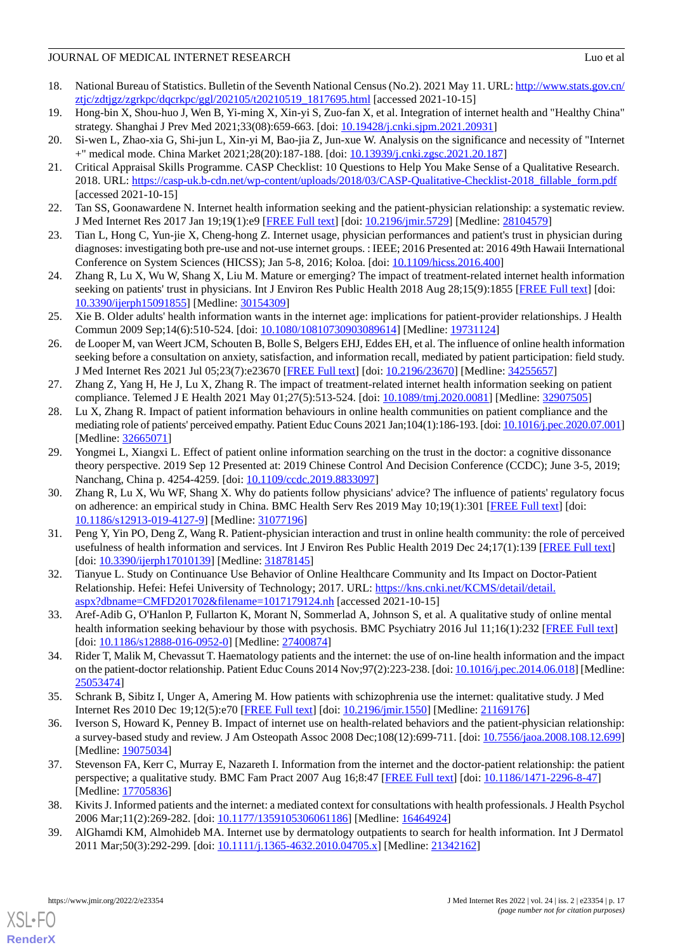- <span id="page-16-0"></span>18. National Bureau of Statistics. Bulletin of the Seventh National Census (No.2). 2021 May 11. URL: [http://www.stats.gov.cn/](http://www.stats.gov.cn/ztjc/zdtjgz/zgrkpc/dqcrkpc/ggl/202105/t20210519_1817695.html) [ztjc/zdtjgz/zgrkpc/dqcrkpc/ggl/202105/t20210519\\_1817695.html](http://www.stats.gov.cn/ztjc/zdtjgz/zgrkpc/dqcrkpc/ggl/202105/t20210519_1817695.html) [accessed 2021-10-15]
- <span id="page-16-1"></span>19. Hong-bin X, Shou-huo J, Wen B, Yi-ming X, Xin-yi S, Zuo-fan X, et al. Integration of internet health and "Healthy China" strategy. Shanghai J Prev Med 2021;33(08):659-663. [doi: [10.19428/j.cnki.sjpm.2021.20931\]](http://dx.doi.org/10.19428/j.cnki.sjpm.2021.20931)
- <span id="page-16-3"></span><span id="page-16-2"></span>20. Si-wen L, Zhao-xia G, Shi-jun L, Xin-yi M, Bao-jia Z, Jun-xue W. Analysis on the significance and necessity of "Internet +" medical mode. China Market 2021;28(20):187-188. [doi: [10.13939/j.cnki.zgsc.2021.20.187](http://dx.doi.org/10.13939/j.cnki.zgsc.2021.20.187)]
- 21. Critical Appraisal Skills Programme. CASP Checklist: 10 Questions to Help You Make Sense of a Qualitative Research. 2018. URL: [https://casp-uk.b-cdn.net/wp-content/uploads/2018/03/CASP-Qualitative-Checklist-2018\\_fillable\\_form.pdf](https://casp-uk.b-cdn.net/wp-content/uploads/2018/03/CASP-Qualitative-Checklist-2018_fillable_form.pdf) [accessed 2021-10-15]
- <span id="page-16-5"></span><span id="page-16-4"></span>22. Tan SS, Goonawardene N. Internet health information seeking and the patient-physician relationship: a systematic review. J Med Internet Res 2017 Jan 19;19(1):e9 [[FREE Full text](https://www.jmir.org/2017/1/e9/)] [doi: [10.2196/jmir.5729](http://dx.doi.org/10.2196/jmir.5729)] [Medline: [28104579\]](http://www.ncbi.nlm.nih.gov/entrez/query.fcgi?cmd=Retrieve&db=PubMed&list_uids=28104579&dopt=Abstract)
- <span id="page-16-16"></span>23. Tian L, Hong C, Yun-jie X, Cheng-hong Z. Internet usage, physician performances and patient's trust in physician during diagnoses: investigating both pre-use and not-use internet groups. : IEEE; 2016 Presented at: 2016 49th Hawaii International Conference on System Sciences (HICSS); Jan 5-8, 2016; Koloa. [doi: [10.1109/hicss.2016.400](http://dx.doi.org/10.1109/hicss.2016.400)]
- <span id="page-16-14"></span>24. Zhang R, Lu X, Wu W, Shang X, Liu M. Mature or emerging? The impact of treatment-related internet health information seeking on patients' trust in physicians. Int J Environ Res Public Health 2018 Aug 28;15(9):1855 [[FREE Full text\]](https://www.mdpi.com/resolver?pii=ijerph15091855) [doi: [10.3390/ijerph15091855](http://dx.doi.org/10.3390/ijerph15091855)] [Medline: [30154309\]](http://www.ncbi.nlm.nih.gov/entrez/query.fcgi?cmd=Retrieve&db=PubMed&list_uids=30154309&dopt=Abstract)
- <span id="page-16-15"></span>25. Xie B. Older adults' health information wants in the internet age: implications for patient-provider relationships. J Health Commun 2009 Sep;14(6):510-524. [doi: [10.1080/10810730903089614\]](http://dx.doi.org/10.1080/10810730903089614) [Medline: [19731124\]](http://www.ncbi.nlm.nih.gov/entrez/query.fcgi?cmd=Retrieve&db=PubMed&list_uids=19731124&dopt=Abstract)
- <span id="page-16-17"></span>26. de Looper M, van Weert JCM, Schouten B, Bolle S, Belgers EHJ, Eddes EH, et al. The influence of online health information seeking before a consultation on anxiety, satisfaction, and information recall, mediated by patient participation: field study. J Med Internet Res 2021 Jul 05;23(7):e23670 [\[FREE Full text](https://www.jmir.org/2021/7/e23670/)] [doi: [10.2196/23670\]](http://dx.doi.org/10.2196/23670) [Medline: [34255657\]](http://www.ncbi.nlm.nih.gov/entrez/query.fcgi?cmd=Retrieve&db=PubMed&list_uids=34255657&dopt=Abstract)
- <span id="page-16-18"></span>27. Zhang Z, Yang H, He J, Lu X, Zhang R. The impact of treatment-related internet health information seeking on patient compliance. Telemed J E Health 2021 May 01;27(5):513-524. [doi: [10.1089/tmj.2020.0081](http://dx.doi.org/10.1089/tmj.2020.0081)] [Medline: [32907505](http://www.ncbi.nlm.nih.gov/entrez/query.fcgi?cmd=Retrieve&db=PubMed&list_uids=32907505&dopt=Abstract)]
- <span id="page-16-19"></span>28. Lu X, Zhang R. Impact of patient information behaviours in online health communities on patient compliance and the mediating role of patients' perceived empathy. Patient Educ Couns 2021 Jan;104(1):186-193. [doi: [10.1016/j.pec.2020.07.001\]](http://dx.doi.org/10.1016/j.pec.2020.07.001) [Medline: [32665071](http://www.ncbi.nlm.nih.gov/entrez/query.fcgi?cmd=Retrieve&db=PubMed&list_uids=32665071&dopt=Abstract)]
- <span id="page-16-21"></span>29. Yongmei L, Xiangxi L. Effect of patient online information searching on the trust in the doctor: a cognitive dissonance theory perspective. 2019 Sep 12 Presented at: 2019 Chinese Control And Decision Conference (CCDC); June 3-5, 2019; Nanchang, China p. 4254-4259. [doi: [10.1109/ccdc.2019.8833097\]](http://dx.doi.org/10.1109/ccdc.2019.8833097)
- <span id="page-16-20"></span>30. Zhang R, Lu X, Wu WF, Shang X. Why do patients follow physicians' advice? The influence of patients' regulatory focus on adherence: an empirical study in China. BMC Health Serv Res 2019 May 10;19(1):301 [[FREE Full text](https://bmchealthservres.biomedcentral.com/articles/10.1186/s12913-019-4127-9)] [doi: [10.1186/s12913-019-4127-9\]](http://dx.doi.org/10.1186/s12913-019-4127-9) [Medline: [31077196](http://www.ncbi.nlm.nih.gov/entrez/query.fcgi?cmd=Retrieve&db=PubMed&list_uids=31077196&dopt=Abstract)]
- <span id="page-16-7"></span><span id="page-16-6"></span>31. Peng Y, Yin PO, Deng Z, Wang R. Patient-physician interaction and trust in online health community: the role of perceived usefulness of health information and services. Int J Environ Res Public Health 2019 Dec 24;17(1):139 [\[FREE Full text\]](https://www.mdpi.com/resolver?pii=ijerph17010139) [doi: [10.3390/ijerph17010139](http://dx.doi.org/10.3390/ijerph17010139)] [Medline: [31878145](http://www.ncbi.nlm.nih.gov/entrez/query.fcgi?cmd=Retrieve&db=PubMed&list_uids=31878145&dopt=Abstract)]
- <span id="page-16-8"></span>32. Tianyue L. Study on Continuance Use Behavior of Online Healthcare Community and Its Impact on Doctor-Patient Relationship. Hefei: Hefei University of Technology; 2017. URL: [https://kns.cnki.net/KCMS/detail/detail.](https://kns.cnki.net/KCMS/detail/detail.aspx?dbname=CMFD201702&filename=1017179124.nh) [aspx?dbname=CMFD201702&filename=1017179124.nh](https://kns.cnki.net/KCMS/detail/detail.aspx?dbname=CMFD201702&filename=1017179124.nh) [accessed 2021-10-15]
- <span id="page-16-9"></span>33. Aref-Adib G, O'Hanlon P, Fullarton K, Morant N, Sommerlad A, Johnson S, et al. A qualitative study of online mental health information seeking behaviour by those with psychosis. BMC Psychiatry 2016 Jul 11;16(1):232 [[FREE Full text](https://bmcpsychiatry.biomedcentral.com/articles/10.1186/s12888-016-0952-0)] [doi: [10.1186/s12888-016-0952-0](http://dx.doi.org/10.1186/s12888-016-0952-0)] [Medline: [27400874\]](http://www.ncbi.nlm.nih.gov/entrez/query.fcgi?cmd=Retrieve&db=PubMed&list_uids=27400874&dopt=Abstract)
- <span id="page-16-10"></span>34. Rider T, Malik M, Chevassut T. Haematology patients and the internet: the use of on-line health information and the impact on the patient-doctor relationship. Patient Educ Couns 2014 Nov;97(2):223-238. [doi: [10.1016/j.pec.2014.06.018\]](http://dx.doi.org/10.1016/j.pec.2014.06.018) [Medline: [25053474](http://www.ncbi.nlm.nih.gov/entrez/query.fcgi?cmd=Retrieve&db=PubMed&list_uids=25053474&dopt=Abstract)]
- <span id="page-16-11"></span>35. Schrank B, Sibitz I, Unger A, Amering M. How patients with schizophrenia use the internet: qualitative study. J Med Internet Res 2010 Dec 19;12(5):e70 [\[FREE Full text\]](https://www.jmir.org/2010/5/e70/) [doi: [10.2196/jmir.1550\]](http://dx.doi.org/10.2196/jmir.1550) [Medline: [21169176\]](http://www.ncbi.nlm.nih.gov/entrez/query.fcgi?cmd=Retrieve&db=PubMed&list_uids=21169176&dopt=Abstract)
- <span id="page-16-12"></span>36. Iverson S, Howard K, Penney B. Impact of internet use on health-related behaviors and the patient-physician relationship: a survey-based study and review. J Am Osteopath Assoc 2008 Dec;108(12):699-711. [doi: [10.7556/jaoa.2008.108.12.699](http://dx.doi.org/10.7556/jaoa.2008.108.12.699)] [Medline: [19075034](http://www.ncbi.nlm.nih.gov/entrez/query.fcgi?cmd=Retrieve&db=PubMed&list_uids=19075034&dopt=Abstract)]
- <span id="page-16-13"></span>37. Stevenson FA, Kerr C, Murray E, Nazareth I. Information from the internet and the doctor-patient relationship: the patient perspective; a qualitative study. BMC Fam Pract 2007 Aug 16;8:47 [[FREE Full text](https://bmcfampract.biomedcentral.com/articles/10.1186/1471-2296-8-47)] [doi: [10.1186/1471-2296-8-47\]](http://dx.doi.org/10.1186/1471-2296-8-47) [Medline: [17705836](http://www.ncbi.nlm.nih.gov/entrez/query.fcgi?cmd=Retrieve&db=PubMed&list_uids=17705836&dopt=Abstract)]
- 38. Kivits J. Informed patients and the internet: a mediated context for consultations with health professionals. J Health Psychol 2006 Mar;11(2):269-282. [doi: [10.1177/1359105306061186\]](http://dx.doi.org/10.1177/1359105306061186) [Medline: [16464924\]](http://www.ncbi.nlm.nih.gov/entrez/query.fcgi?cmd=Retrieve&db=PubMed&list_uids=16464924&dopt=Abstract)
- 39. AlGhamdi KM, Almohideb MA. Internet use by dermatology outpatients to search for health information. Int J Dermatol 2011 Mar;50(3):292-299. [doi: [10.1111/j.1365-4632.2010.04705.x](http://dx.doi.org/10.1111/j.1365-4632.2010.04705.x)] [Medline: [21342162\]](http://www.ncbi.nlm.nih.gov/entrez/query.fcgi?cmd=Retrieve&db=PubMed&list_uids=21342162&dopt=Abstract)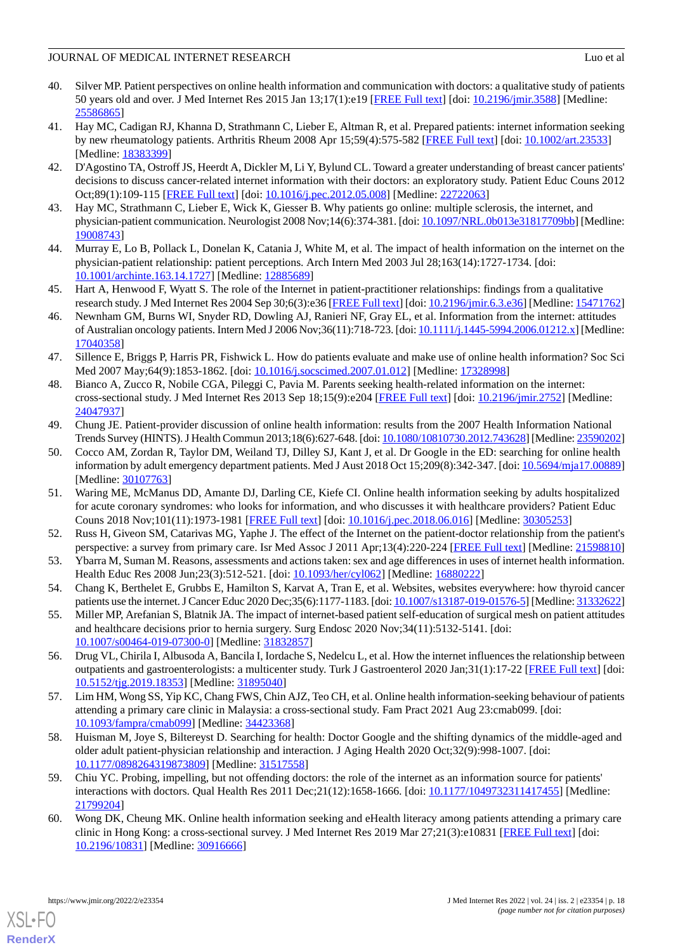- <span id="page-17-0"></span>40. Silver MP. Patient perspectives on online health information and communication with doctors: a qualitative study of patients 50 years old and over. J Med Internet Res 2015 Jan 13;17(1):e19 [[FREE Full text](https://www.jmir.org/2015/1/e19/)] [doi: [10.2196/jmir.3588](http://dx.doi.org/10.2196/jmir.3588)] [Medline: [25586865](http://www.ncbi.nlm.nih.gov/entrez/query.fcgi?cmd=Retrieve&db=PubMed&list_uids=25586865&dopt=Abstract)]
- <span id="page-17-1"></span>41. Hay MC, Cadigan RJ, Khanna D, Strathmann C, Lieber E, Altman R, et al. Prepared patients: internet information seeking by new rheumatology patients. Arthritis Rheum 2008 Apr 15;59(4):575-582 [[FREE Full text](https://doi.org/10.1002/art.23533)] [doi: [10.1002/art.23533\]](http://dx.doi.org/10.1002/art.23533) [Medline: [18383399](http://www.ncbi.nlm.nih.gov/entrez/query.fcgi?cmd=Retrieve&db=PubMed&list_uids=18383399&dopt=Abstract)]
- <span id="page-17-3"></span><span id="page-17-2"></span>42. D'Agostino TA, Ostroff JS, Heerdt A, Dickler M, Li Y, Bylund CL. Toward a greater understanding of breast cancer patients' decisions to discuss cancer-related internet information with their doctors: an exploratory study. Patient Educ Couns 2012 Oct;89(1):109-115 [\[FREE Full text\]](http://europepmc.org/abstract/MED/22722063) [doi: [10.1016/j.pec.2012.05.008\]](http://dx.doi.org/10.1016/j.pec.2012.05.008) [Medline: [22722063\]](http://www.ncbi.nlm.nih.gov/entrez/query.fcgi?cmd=Retrieve&db=PubMed&list_uids=22722063&dopt=Abstract)
- <span id="page-17-4"></span>43. Hay MC, Strathmann C, Lieber E, Wick K, Giesser B. Why patients go online: multiple sclerosis, the internet, and physician-patient communication. Neurologist 2008 Nov;14(6):374-381. [doi: [10.1097/NRL.0b013e31817709bb\]](http://dx.doi.org/10.1097/NRL.0b013e31817709bb) [Medline: [19008743](http://www.ncbi.nlm.nih.gov/entrez/query.fcgi?cmd=Retrieve&db=PubMed&list_uids=19008743&dopt=Abstract)]
- <span id="page-17-5"></span>44. Murray E, Lo B, Pollack L, Donelan K, Catania J, White M, et al. The impact of health information on the internet on the physician-patient relationship: patient perceptions. Arch Intern Med 2003 Jul 28;163(14):1727-1734. [doi: [10.1001/archinte.163.14.1727](http://dx.doi.org/10.1001/archinte.163.14.1727)] [Medline: [12885689](http://www.ncbi.nlm.nih.gov/entrez/query.fcgi?cmd=Retrieve&db=PubMed&list_uids=12885689&dopt=Abstract)]
- <span id="page-17-6"></span>45. Hart A, Henwood F, Wyatt S. The role of the Internet in patient-practitioner relationships: findings from a qualitative research study. J Med Internet Res 2004 Sep 30;6(3):e36 [\[FREE Full text](https://www.jmir.org/2004/3/e36/)] [doi: [10.2196/jmir.6.3.e36\]](http://dx.doi.org/10.2196/jmir.6.3.e36) [Medline: [15471762](http://www.ncbi.nlm.nih.gov/entrez/query.fcgi?cmd=Retrieve&db=PubMed&list_uids=15471762&dopt=Abstract)]
- <span id="page-17-7"></span>46. Newnham GM, Burns WI, Snyder RD, Dowling AJ, Ranieri NF, Gray EL, et al. Information from the internet: attitudes of Australian oncology patients. Intern Med J 2006 Nov;36(11):718-723. [doi: [10.1111/j.1445-5994.2006.01212.x\]](http://dx.doi.org/10.1111/j.1445-5994.2006.01212.x) [Medline: [17040358](http://www.ncbi.nlm.nih.gov/entrez/query.fcgi?cmd=Retrieve&db=PubMed&list_uids=17040358&dopt=Abstract)]
- <span id="page-17-8"></span>47. Sillence E, Briggs P, Harris PR, Fishwick L. How do patients evaluate and make use of online health information? Soc Sci Med 2007 May;64(9):1853-1862. [doi: [10.1016/j.socscimed.2007.01.012\]](http://dx.doi.org/10.1016/j.socscimed.2007.01.012) [Medline: [17328998\]](http://www.ncbi.nlm.nih.gov/entrez/query.fcgi?cmd=Retrieve&db=PubMed&list_uids=17328998&dopt=Abstract)
- <span id="page-17-9"></span>48. Bianco A, Zucco R, Nobile CGA, Pileggi C, Pavia M. Parents seeking health-related information on the internet: cross-sectional study. J Med Internet Res 2013 Sep 18;15(9):e204 [\[FREE Full text\]](https://www.jmir.org/2013/9/e204/) [doi: [10.2196/jmir.2752\]](http://dx.doi.org/10.2196/jmir.2752) [Medline: [24047937](http://www.ncbi.nlm.nih.gov/entrez/query.fcgi?cmd=Retrieve&db=PubMed&list_uids=24047937&dopt=Abstract)]
- <span id="page-17-10"></span>49. Chung JE. Patient-provider discussion of online health information: results from the 2007 Health Information National Trends Survey (HINTS). J Health Commun 2013;18(6):627-648. [doi: [10.1080/10810730.2012.743628](http://dx.doi.org/10.1080/10810730.2012.743628)] [Medline: [23590202\]](http://www.ncbi.nlm.nih.gov/entrez/query.fcgi?cmd=Retrieve&db=PubMed&list_uids=23590202&dopt=Abstract)
- <span id="page-17-11"></span>50. Cocco AM, Zordan R, Taylor DM, Weiland TJ, Dilley SJ, Kant J, et al. Dr Google in the ED: searching for online health information by adult emergency department patients. Med J Aust 2018 Oct 15;209(8):342-347. [doi: [10.5694/mja17.00889\]](http://dx.doi.org/10.5694/mja17.00889) [Medline: [30107763](http://www.ncbi.nlm.nih.gov/entrez/query.fcgi?cmd=Retrieve&db=PubMed&list_uids=30107763&dopt=Abstract)]
- <span id="page-17-13"></span><span id="page-17-12"></span>51. Waring ME, McManus DD, Amante DJ, Darling CE, Kiefe CI. Online health information seeking by adults hospitalized for acute coronary syndromes: who looks for information, and who discusses it with healthcare providers? Patient Educ Couns 2018 Nov;101(11):1973-1981 [\[FREE Full text\]](http://europepmc.org/abstract/MED/30305253) [doi: [10.1016/j.pec.2018.06.016](http://dx.doi.org/10.1016/j.pec.2018.06.016)] [Medline: [30305253\]](http://www.ncbi.nlm.nih.gov/entrez/query.fcgi?cmd=Retrieve&db=PubMed&list_uids=30305253&dopt=Abstract)
- <span id="page-17-14"></span>52. Russ H, Giveon SM, Catarivas MG, Yaphe J. The effect of the Internet on the patient-doctor relationship from the patient's perspective: a survey from primary care. Isr Med Assoc J 2011 Apr;13(4):220-224 [[FREE Full text\]](http://www.ima.org.il/IMAJ/ViewArticle.aspx?year=2011&month=04&page=220) [Medline: [21598810](http://www.ncbi.nlm.nih.gov/entrez/query.fcgi?cmd=Retrieve&db=PubMed&list_uids=21598810&dopt=Abstract)]
- <span id="page-17-15"></span>53. Ybarra M, Suman M. Reasons, assessments and actions taken: sex and age differences in uses of internet health information. Health Educ Res 2008 Jun;23(3):512-521. [doi: [10.1093/her/cyl062\]](http://dx.doi.org/10.1093/her/cyl062) [Medline: [16880222](http://www.ncbi.nlm.nih.gov/entrez/query.fcgi?cmd=Retrieve&db=PubMed&list_uids=16880222&dopt=Abstract)]
- <span id="page-17-16"></span>54. Chang K, Berthelet E, Grubbs E, Hamilton S, Karvat A, Tran E, et al. Websites, websites everywhere: how thyroid cancer patients use the internet. J Cancer Educ 2020 Dec;35(6):1177-1183. [doi: [10.1007/s13187-019-01576-5](http://dx.doi.org/10.1007/s13187-019-01576-5)] [Medline: [31332622\]](http://www.ncbi.nlm.nih.gov/entrez/query.fcgi?cmd=Retrieve&db=PubMed&list_uids=31332622&dopt=Abstract)
- <span id="page-17-17"></span>55. Miller MP, Arefanian S, Blatnik JA. The impact of internet-based patient self-education of surgical mesh on patient attitudes and healthcare decisions prior to hernia surgery. Surg Endosc 2020 Nov;34(11):5132-5141. [doi: [10.1007/s00464-019-07300-0\]](http://dx.doi.org/10.1007/s00464-019-07300-0) [Medline: [31832857\]](http://www.ncbi.nlm.nih.gov/entrez/query.fcgi?cmd=Retrieve&db=PubMed&list_uids=31832857&dopt=Abstract)
- <span id="page-17-18"></span>56. Drug VL, Chirila I, Albusoda A, Bancila I, Iordache S, Nedelcu L, et al. How the internet influences the relationship between outpatients and gastroenterologists: a multicenter study. Turk J Gastroenterol 2020 Jan;31(1):17-22 [[FREE Full text](https://doi.org/10.5152/tjg.2019.18353)] [doi: [10.5152/tjg.2019.18353](http://dx.doi.org/10.5152/tjg.2019.18353)] [Medline: [31895040](http://www.ncbi.nlm.nih.gov/entrez/query.fcgi?cmd=Retrieve&db=PubMed&list_uids=31895040&dopt=Abstract)]
- <span id="page-17-19"></span>57. Lim HM, Wong SS, Yip KC, Chang FWS, Chin AJZ, Teo CH, et al. Online health information-seeking behaviour of patients attending a primary care clinic in Malaysia: a cross-sectional study. Fam Pract 2021 Aug 23:cmab099. [doi: [10.1093/fampra/cmab099\]](http://dx.doi.org/10.1093/fampra/cmab099) [Medline: [34423368](http://www.ncbi.nlm.nih.gov/entrez/query.fcgi?cmd=Retrieve&db=PubMed&list_uids=34423368&dopt=Abstract)]
- <span id="page-17-20"></span>58. Huisman M, Joye S, Biltereyst D. Searching for health: Doctor Google and the shifting dynamics of the middle-aged and older adult patient-physician relationship and interaction. J Aging Health 2020 Oct;32(9):998-1007. [doi: [10.1177/0898264319873809\]](http://dx.doi.org/10.1177/0898264319873809) [Medline: [31517558\]](http://www.ncbi.nlm.nih.gov/entrez/query.fcgi?cmd=Retrieve&db=PubMed&list_uids=31517558&dopt=Abstract)
- 59. Chiu YC. Probing, impelling, but not offending doctors: the role of the internet as an information source for patients' interactions with doctors. Qual Health Res 2011 Dec;21(12):1658-1666. [doi: [10.1177/1049732311417455\]](http://dx.doi.org/10.1177/1049732311417455) [Medline: [21799204](http://www.ncbi.nlm.nih.gov/entrez/query.fcgi?cmd=Retrieve&db=PubMed&list_uids=21799204&dopt=Abstract)]
- 60. Wong DK, Cheung MK. Online health information seeking and eHealth literacy among patients attending a primary care clinic in Hong Kong: a cross-sectional survey. J Med Internet Res 2019 Mar 27;21(3):e10831 [\[FREE Full text\]](https://www.jmir.org/2019/3/e10831/) [doi: [10.2196/10831\]](http://dx.doi.org/10.2196/10831) [Medline: [30916666\]](http://www.ncbi.nlm.nih.gov/entrez/query.fcgi?cmd=Retrieve&db=PubMed&list_uids=30916666&dopt=Abstract)

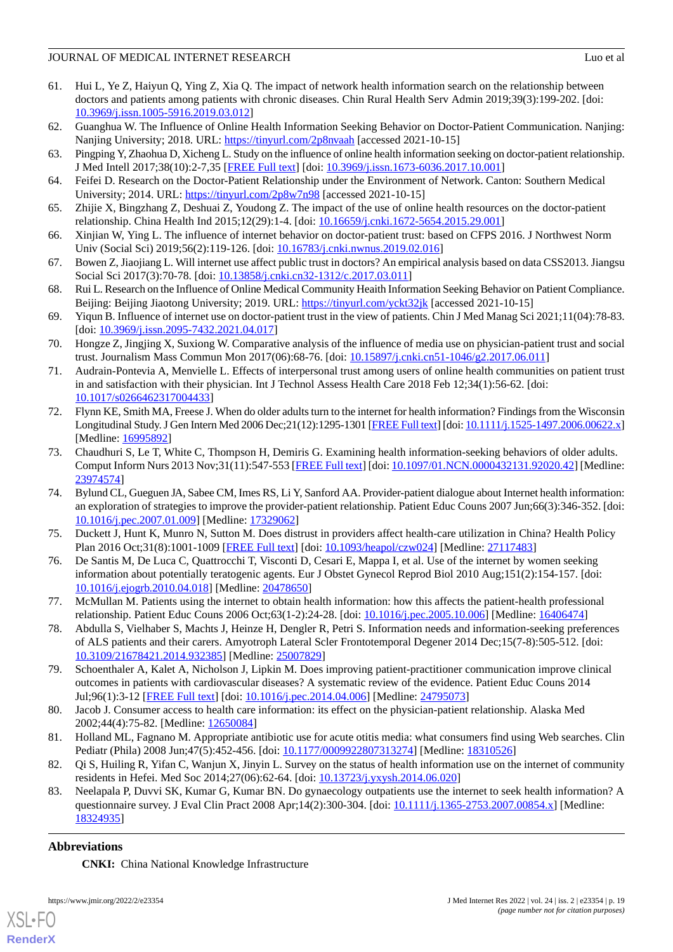- <span id="page-18-0"></span>61. Hui L, Ye Z, Haiyun Q, Ying Z, Xia Q. The impact of network health information search on the relationship between doctors and patients among patients with chronic diseases. Chin Rural Health Serv Admin 2019;39(3):199-202. [doi: [10.3969/j.issn.1005-5916.2019.03.012\]](http://dx.doi.org/10.3969/j.issn.1005-5916.2019.03.012)
- <span id="page-18-2"></span><span id="page-18-1"></span>62. Guanghua W. The Influence of Online Health Information Seeking Behavior on Doctor-Patient Communication. Nanjing: Nanjing University; 2018. URL: [https://tinyurl.com/2p8nvaah](https://kns.cnki.net/kcms/detail/detail.aspx?dbcode=CMFD&dbname=CMFD201802&filename=1018151697.nh&uniplatform=NZKPT&v=8hx8k3qzQaLXsylNtKRgqhJBbMFtwjQ_WKiwu7BSTn3glzoxnpPB8XZsVJ0BRG4q) [accessed 2021-10-15]
- <span id="page-18-3"></span>63. Pingping Y, Zhaohua D, Xicheng L. Study on the influence of online health information seeking on doctor-patient relationship. J Med Intell 2017;38(10):2-7,35 [\[FREE Full text\]](https://d.wanfangdata.com.cn/periodical/ChlQZXJpb2RpY2FsQ0hJTmV3UzIwMjExMjMwEg95eHFiZ3oyMDE3MTAwMDEaCGZxb3d2anF5) [doi: [10.3969/j.issn.1673-6036.2017.10.001](http://dx.doi.org/10.3969/j.issn.1673-6036.2017.10.001)]
- <span id="page-18-4"></span>64. Feifei D. Research on the Doctor-Patient Relationship under the Environment of Network. Canton: Southern Medical University; 2014. URL: [https://tinyurl.com/2p8w7n98](https://kns.cnki.net/kcms/detail/detail.aspx?dbcode=CMFD&dbname=CMFD201501&filename=1014335175.nh&uniplatform=NZKPT&v=wLJoDME7L3YYs7aEISpe8WcvooBT_RqkOHNyKsHDOISY9EuUechqM8SdcgmnTeY7) [accessed 2021-10-15]
- <span id="page-18-5"></span>65. Zhijie X, Bingzhang Z, Deshuai Z, Youdong Z. The impact of the use of online health resources on the doctor-patient relationship. China Health Ind 2015;12(29):1-4. [doi: [10.16659/j.cnki.1672-5654.2015.29.001](http://dx.doi.org/10.16659/j.cnki.1672-5654.2015.29.001)]
- <span id="page-18-6"></span>66. Xinjian W, Ying L. The influence of internet behavior on doctor-patient trust: based on CFPS 2016. J Northwest Norm Univ (Social Sci) 2019;56(2):119-126. [doi: [10.16783/j.cnki.nwnus.2019.02.016](http://dx.doi.org/10.16783/j.cnki.nwnus.2019.02.016)]
- <span id="page-18-7"></span>67. Bowen Z, Jiaojiang L. Will internet use affect public trust in doctors? An empirical analysis based on data CSS2013. Jiangsu Social Sci 2017(3):70-78. [doi: [10.13858/j.cnki.cn32-1312/c.2017.03.011](http://dx.doi.org/10.13858/j.cnki.cn32-1312/c.2017.03.011)]
- <span id="page-18-8"></span>68. Rui L. Research on the Influence of Online Medical Community Heaith Information Seeking Behavior on Patient Compliance. Beijing: Beijing Jiaotong University; 2019. URL: [https://tinyurl.com/yckt32jk](https://kns.cnki.net/kcms/detail/detail.aspx?dbcode=CMFD&dbname=CMFD202001&filename=1019190467.nh&uniplatform=NZKPT&v=3_pk6OHu_t3jT60zWmKdjPL8doILvgietConLMLRS6_Yzv0xtLlLFRDIuOa3AYaT) [accessed 2021-10-15]
- <span id="page-18-9"></span>69. Yiqun B. Influence of internet use on doctor-patient trust in the view of patients. Chin J Med Manag Sci 2021;11(04):78-83. [doi: [10.3969/j.issn.2095-7432.2021.04.017](http://dx.doi.org/10.3969/j.issn.2095-7432.2021.04.017)]
- <span id="page-18-10"></span>70. Hongze Z, Jingjing X, Suxiong W. Comparative analysis of the influence of media use on physician-patient trust and social trust. Journalism Mass Commun Mon 2017(06):68-76. [doi: [10.15897/j.cnki.cn51-1046/g2.2017.06.011\]](http://dx.doi.org/10.15897/j.cnki.cn51-1046/g2.2017.06.011)
- <span id="page-18-11"></span>71. Audrain-Pontevia A, Menvielle L. Effects of interpersonal trust among users of online health communities on patient trust in and satisfaction with their physician. Int J Technol Assess Health Care 2018 Feb 12;34(1):56-62. [doi: [10.1017/s0266462317004433\]](http://dx.doi.org/10.1017/s0266462317004433)
- <span id="page-18-12"></span>72. Flynn KE, Smith MA, Freese J. When do older adults turn to the internet for health information? Findings from the Wisconsin Longitudinal Study. J Gen Intern Med 2006 Dec;21(12):1295-1301 [\[FREE Full text\]](https://onlinelibrary.wiley.com/resolve/openurl?genre=article&sid=nlm:pubmed&issn=0884-8734&date=2006&volume=21&issue=12&spage=1295) [doi: [10.1111/j.1525-1497.2006.00622.x\]](http://dx.doi.org/10.1111/j.1525-1497.2006.00622.x) [Medline: [16995892](http://www.ncbi.nlm.nih.gov/entrez/query.fcgi?cmd=Retrieve&db=PubMed&list_uids=16995892&dopt=Abstract)]
- <span id="page-18-13"></span>73. Chaudhuri S, Le T, White C, Thompson H, Demiris G. Examining health information-seeking behaviors of older adults. Comput Inform Nurs 2013 Nov;31(11):547-553 [\[FREE Full text\]](http://europepmc.org/abstract/MED/23974574) [doi: [10.1097/01.NCN.0000432131.92020.42](http://dx.doi.org/10.1097/01.NCN.0000432131.92020.42)] [Medline: [23974574](http://www.ncbi.nlm.nih.gov/entrez/query.fcgi?cmd=Retrieve&db=PubMed&list_uids=23974574&dopt=Abstract)]
- <span id="page-18-15"></span><span id="page-18-14"></span>74. Bylund CL, Gueguen JA, Sabee CM, Imes RS, Li Y, Sanford AA. Provider-patient dialogue about Internet health information: an exploration of strategies to improve the provider-patient relationship. Patient Educ Couns 2007 Jun;66(3):346-352. [doi: [10.1016/j.pec.2007.01.009\]](http://dx.doi.org/10.1016/j.pec.2007.01.009) [Medline: [17329062](http://www.ncbi.nlm.nih.gov/entrez/query.fcgi?cmd=Retrieve&db=PubMed&list_uids=17329062&dopt=Abstract)]
- <span id="page-18-16"></span>75. Duckett J, Hunt K, Munro N, Sutton M. Does distrust in providers affect health-care utilization in China? Health Policy Plan 2016 Oct;31(8):1001-1009 [\[FREE Full text](http://europepmc.org/abstract/MED/27117483)] [doi: [10.1093/heapol/czw024\]](http://dx.doi.org/10.1093/heapol/czw024) [Medline: [27117483](http://www.ncbi.nlm.nih.gov/entrez/query.fcgi?cmd=Retrieve&db=PubMed&list_uids=27117483&dopt=Abstract)]
- <span id="page-18-17"></span>76. De Santis M, De Luca C, Quattrocchi T, Visconti D, Cesari E, Mappa I, et al. Use of the internet by women seeking information about potentially teratogenic agents. Eur J Obstet Gynecol Reprod Biol 2010 Aug;151(2):154-157. [doi: [10.1016/j.ejogrb.2010.04.018\]](http://dx.doi.org/10.1016/j.ejogrb.2010.04.018) [Medline: [20478650](http://www.ncbi.nlm.nih.gov/entrez/query.fcgi?cmd=Retrieve&db=PubMed&list_uids=20478650&dopt=Abstract)]
- <span id="page-18-18"></span>77. McMullan M. Patients using the internet to obtain health information: how this affects the patient-health professional relationship. Patient Educ Couns 2006 Oct;63(1-2):24-28. [doi: [10.1016/j.pec.2005.10.006](http://dx.doi.org/10.1016/j.pec.2005.10.006)] [Medline: [16406474\]](http://www.ncbi.nlm.nih.gov/entrez/query.fcgi?cmd=Retrieve&db=PubMed&list_uids=16406474&dopt=Abstract)
- <span id="page-18-19"></span>78. Abdulla S, Vielhaber S, Machts J, Heinze H, Dengler R, Petri S. Information needs and information-seeking preferences of ALS patients and their carers. Amyotroph Lateral Scler Frontotemporal Degener 2014 Dec;15(7-8):505-512. [doi: [10.3109/21678421.2014.932385\]](http://dx.doi.org/10.3109/21678421.2014.932385) [Medline: [25007829\]](http://www.ncbi.nlm.nih.gov/entrez/query.fcgi?cmd=Retrieve&db=PubMed&list_uids=25007829&dopt=Abstract)
- <span id="page-18-21"></span><span id="page-18-20"></span>79. Schoenthaler A, Kalet A, Nicholson J, Lipkin M. Does improving patient-practitioner communication improve clinical outcomes in patients with cardiovascular diseases? A systematic review of the evidence. Patient Educ Couns 2014 Jul;96(1):3-12 [[FREE Full text\]](http://europepmc.org/abstract/MED/24795073) [doi: [10.1016/j.pec.2014.04.006](http://dx.doi.org/10.1016/j.pec.2014.04.006)] [Medline: [24795073\]](http://www.ncbi.nlm.nih.gov/entrez/query.fcgi?cmd=Retrieve&db=PubMed&list_uids=24795073&dopt=Abstract)
- <span id="page-18-22"></span>80. Jacob J. Consumer access to health care information: its effect on the physician-patient relationship. Alaska Med 2002;44(4):75-82. [Medline: [12650084](http://www.ncbi.nlm.nih.gov/entrez/query.fcgi?cmd=Retrieve&db=PubMed&list_uids=12650084&dopt=Abstract)]
- 81. Holland ML, Fagnano M. Appropriate antibiotic use for acute otitis media: what consumers find using Web searches. Clin Pediatr (Phila) 2008 Jun;47(5):452-456. [doi: [10.1177/0009922807313274\]](http://dx.doi.org/10.1177/0009922807313274) [Medline: [18310526\]](http://www.ncbi.nlm.nih.gov/entrez/query.fcgi?cmd=Retrieve&db=PubMed&list_uids=18310526&dopt=Abstract)
- 82. Qi S, Huiling R, Yifan C, Wanjun X, Jinyin L. Survey on the status of health information use on the internet of community residents in Hefei. Med Soc 2014;27(06):62-64. [doi: [10.13723/j.yxysh.2014.06.020](http://dx.doi.org/10.13723/j.yxysh.2014.06.020)]
- 83. Neelapala P, Duvvi SK, Kumar G, Kumar BN. Do gynaecology outpatients use the internet to seek health information? A questionnaire survey. J Eval Clin Pract 2008 Apr;14(2):300-304. [doi: [10.1111/j.1365-2753.2007.00854.x\]](http://dx.doi.org/10.1111/j.1365-2753.2007.00854.x) [Medline: [18324935](http://www.ncbi.nlm.nih.gov/entrez/query.fcgi?cmd=Retrieve&db=PubMed&list_uids=18324935&dopt=Abstract)]

# **Abbreviations**

[XSL](http://www.w3.org/Style/XSL)•FO **[RenderX](http://www.renderx.com/)**

**CNKI:** China National Knowledge Infrastructure